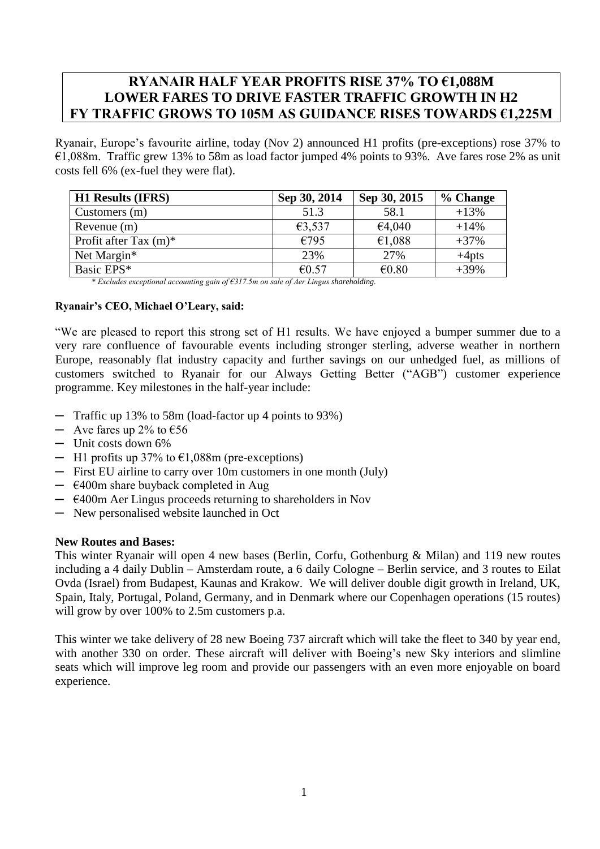# **RYANAIR HALF YEAR PROFITS RISE 37% TO €1,088M LOWER FARES TO DRIVE FASTER TRAFFIC GROWTH IN H2 FY TRAFFIC GROWS TO 105M AS GUIDANCE RISES TOWARDS €1,225M**

Ryanair, Europe's favourite airline, today (Nov 2) announced H1 profits (pre-exceptions) rose 37% to €1,088m. Traffic grew 13% to 58m as load factor jumped 4% points to 93%. Ave fares rose 2% as unit costs fell 6% (ex-fuel they were flat).

| <b>H1 Results (IFRS)</b> | Sep 30, 2014 | Sep 30, 2015 | % Change |
|--------------------------|--------------|--------------|----------|
| Customers $(m)$          | 51.3         | 58.1         | $+13%$   |
| Revenue $(m)$            | €3,537       | €4,040       | $+14%$   |
| Profit after Tax $(m)^*$ | €795         | €1,088       | $+37%$   |
| Net Margin*              | 23%          | 27%          | $+4$ pts |
| Basic EPS*               | €0.57        | € $0.80$     | $+39%$   |

*\* Excludes exceptional accounting gain of €317.5m on sale of Aer Lingus shareholding.*

## **Ryanair's CEO, Michael O'Leary, said:**

"We are pleased to report this strong set of H1 results. We have enjoyed a bumper summer due to a very rare confluence of favourable events including stronger sterling, adverse weather in northern Europe, reasonably flat industry capacity and further savings on our unhedged fuel, as millions of customers switched to Ryanair for our Always Getting Better ("AGB") customer experience programme. Key milestones in the half-year include:

- ─ Traffic up 13% to 58m (load-factor up 4 points to 93%)
- $-$  Ave fares up 2% to  $\epsilon$ 56
- ─ Unit costs down 6%
- $-$  H1 profits up 37% to  $\epsilon$ 1,088m (pre-exceptions)
- ─ First EU airline to carry over 10m customers in one month (July)
- $\epsilon$ 400m share buyback completed in Aug
- $\div$  €400m Aer Lingus proceeds returning to shareholders in Nov
- ─ New personalised website launched in Oct

## **New Routes and Bases:**

This winter Ryanair will open 4 new bases (Berlin, Corfu, Gothenburg & Milan) and 119 new routes including a 4 daily Dublin – Amsterdam route, a 6 daily Cologne – Berlin service, and 3 routes to Eilat Ovda (Israel) from Budapest, Kaunas and Krakow. We will deliver double digit growth in Ireland, UK, Spain, Italy, Portugal, Poland, Germany, and in Denmark where our Copenhagen operations (15 routes) will grow by over  $100\%$  to 2.5m customers p.a.

This winter we take delivery of 28 new Boeing 737 aircraft which will take the fleet to 340 by year end, with another 330 on order. These aircraft will deliver with Boeing's new Sky interiors and slimline seats which will improve leg room and provide our passengers with an even more enjoyable on board experience.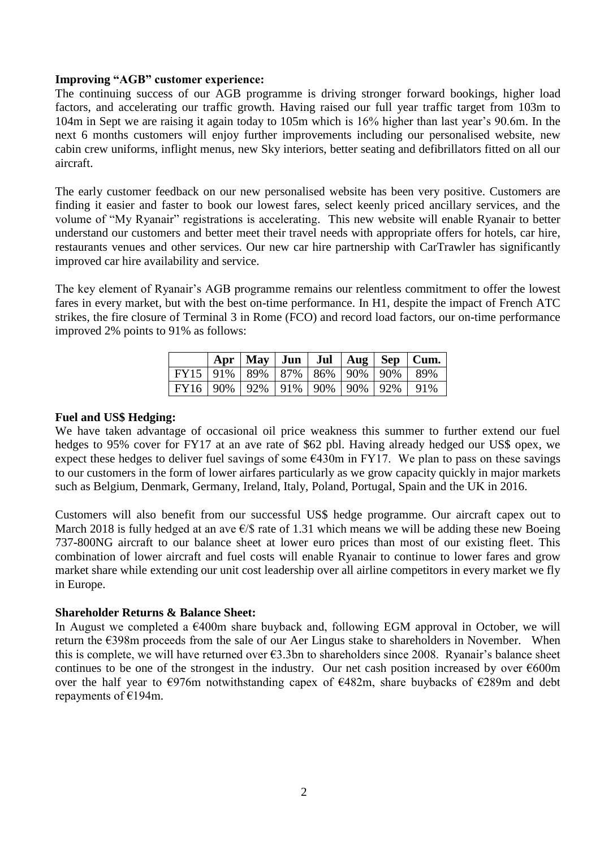## **Improving "AGB" customer experience:**

The continuing success of our AGB programme is driving stronger forward bookings, higher load factors, and accelerating our traffic growth. Having raised our full year traffic target from 103m to 104m in Sept we are raising it again today to 105m which is 16% higher than last year's 90.6m. In the next 6 months customers will enjoy further improvements including our personalised website, new cabin crew uniforms, inflight menus, new Sky interiors, better seating and defibrillators fitted on all our aircraft.

The early customer feedback on our new personalised website has been very positive. Customers are finding it easier and faster to book our lowest fares, select keenly priced ancillary services, and the volume of "My Ryanair" registrations is accelerating. This new website will enable Ryanair to better understand our customers and better meet their travel needs with appropriate offers for hotels, car hire, restaurants venues and other services. Our new car hire partnership with CarTrawler has significantly improved car hire availability and service.

The key element of Ryanair's AGB programme remains our relentless commitment to offer the lowest fares in every market, but with the best on-time performance. In H1, despite the impact of French ATC strikes, the fire closure of Terminal 3 in Rome (FCO) and record load factors, our on-time performance improved 2% points to 91% as follows:

|                                                |  |  |  | Apr   May   Jun   Jul   Aug   Sep   Cum. |
|------------------------------------------------|--|--|--|------------------------------------------|
| FY15   91%   89%   87%   86%   90%   90%   89% |  |  |  |                                          |
| FY16   90%   92%   91%   90%   90%   92%   91% |  |  |  |                                          |

## **Fuel and US\$ Hedging:**

We have taken advantage of occasional oil price weakness this summer to further extend our fuel hedges to 95% cover for FY17 at an ave rate of \$62 pbl. Having already hedged our US\$ opex, we expect these hedges to deliver fuel savings of some  $\epsilon$ 430m in FY17. We plan to pass on these savings to our customers in the form of lower airfares particularly as we grow capacity quickly in major markets such as Belgium, Denmark, Germany, Ireland, Italy, Poland, Portugal, Spain and the UK in 2016.

Customers will also benefit from our successful US\$ hedge programme. Our aircraft capex out to March 2018 is fully hedged at an ave  $\epsilon$ /\$ rate of 1.31 which means we will be adding these new Boeing 737-800NG aircraft to our balance sheet at lower euro prices than most of our existing fleet. This combination of lower aircraft and fuel costs will enable Ryanair to continue to lower fares and grow market share while extending our unit cost leadership over all airline competitors in every market we fly in Europe.

#### **Shareholder Returns & Balance Sheet:**

In August we completed a  $\epsilon$ 400m share buyback and, following EGM approval in October, we will return the €398m proceeds from the sale of our Aer Lingus stake to shareholders in November. When this is complete, we will have returned over €3.3bn to shareholders since 2008. Ryanair's balance sheet continues to be one of the strongest in the industry. Our net cash position increased by over  $\epsilon$ 600m over the half year to €976m notwithstanding capex of €482m, share buybacks of €289m and debt repayments of €194m.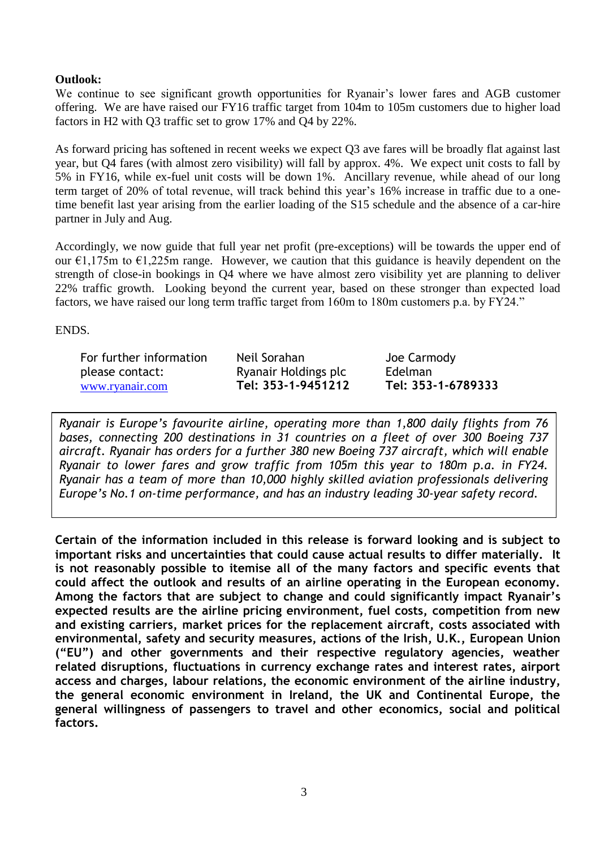## **Outlook:**

We continue to see significant growth opportunities for Ryanair's lower fares and AGB customer offering. We are have raised our FY16 traffic target from 104m to 105m customers due to higher load factors in H2 with Q3 traffic set to grow 17% and Q4 by 22%.

As forward pricing has softened in recent weeks we expect Q3 ave fares will be broadly flat against last year, but Q4 fares (with almost zero visibility) will fall by approx. 4%. We expect unit costs to fall by 5% in FY16, while ex-fuel unit costs will be down 1%. Ancillary revenue, while ahead of our long term target of 20% of total revenue, will track behind this year's 16% increase in traffic due to a onetime benefit last year arising from the earlier loading of the S15 schedule and the absence of a car-hire partner in July and Aug.

Accordingly, we now guide that full year net profit (pre-exceptions) will be towards the upper end of our  $\epsilon$ 1,175m to  $\epsilon$ 1,225m range. However, we caution that this guidance is heavily dependent on the strength of close-in bookings in Q4 where we have almost zero visibility yet are planning to deliver 22% traffic growth. Looking beyond the current year, based on these stronger than expected load factors, we have raised our long term traffic target from 160m to 180m customers p.a. by FY24."

ENDS.

| For further information | Neil Sorahan         | Joe Carmody        |
|-------------------------|----------------------|--------------------|
| please contact:         | Ryanair Holdings plc | <b>Edelman</b>     |
| www.ryanair.com         | Tel: 353-1-9451212   | Tel: 353-1-6789333 |

*Ryanair is Europe's favourite airline, operating more than 1,800 daily flights from 76 bases, connecting 200 destinations in 31 countries on a fleet of over 300 Boeing 737 aircraft. Ryanair has orders for a further 380 new Boeing 737 aircraft, which will enable Ryanair to lower fares and grow traffic from 105m this year to 180m p.a. in FY24. Ryanair has a team of more than 10,000 highly skilled aviation professionals delivering Europe's No.1 on-time performance, and has an industry leading 30-year safety record.*

**Certain of the information included in this release is forward looking and is subject to important risks and uncertainties that could cause actual results to differ materially. It is not reasonably possible to itemise all of the many factors and specific events that could affect the outlook and results of an airline operating in the European economy. Among the factors that are subject to change and could significantly impact Ryanair's expected results are the airline pricing environment, fuel costs, competition from new and existing carriers, market prices for the replacement aircraft, costs associated with environmental, safety and security measures, actions of the Irish, U.K., European Union ("EU") and other governments and their respective regulatory agencies, weather related disruptions, fluctuations in currency exchange rates and interest rates, airport access and charges, labour relations, the economic environment of the airline industry, the general economic environment in Ireland, the UK and Continental Europe, the general willingness of passengers to travel and other economics, social and political factors.**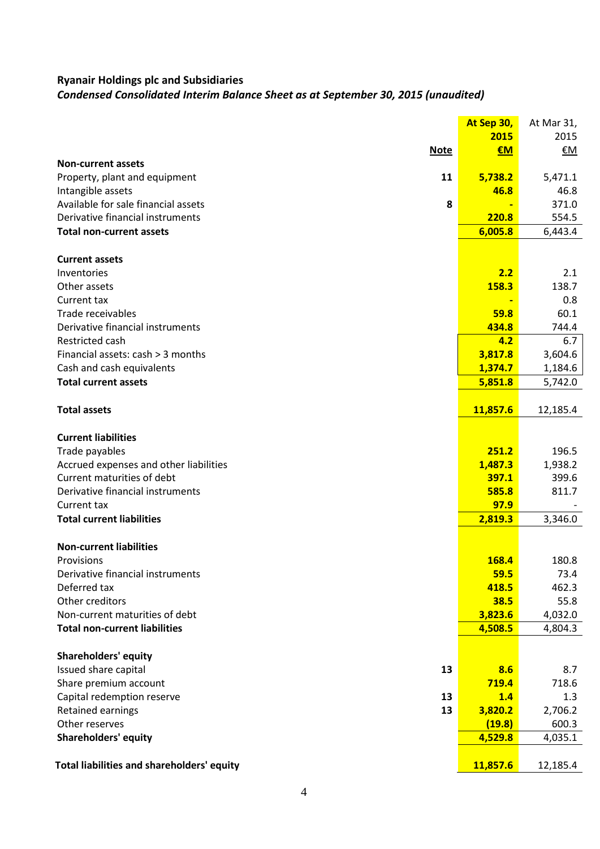## *Condensed Consolidated Interim Balance Sheet as at September 30, 2015 (unaudited)*

|                                            |             | At Sep 30,   | At Mar 31, |
|--------------------------------------------|-------------|--------------|------------|
|                                            |             | 2015         | 2015       |
|                                            | <b>Note</b> | $\epsilon$ M | €M         |
| <b>Non-current assets</b>                  |             |              |            |
| Property, plant and equipment              | 11          | 5,738.2      | 5,471.1    |
| Intangible assets                          |             | 46.8         | 46.8       |
| Available for sale financial assets        | 8           |              | 371.0      |
| Derivative financial instruments           |             | 220.8        | 554.5      |
| <b>Total non-current assets</b>            |             | 6,005.8      | 6,443.4    |
| <b>Current assets</b>                      |             |              |            |
| Inventories                                |             | 2.2          | 2.1        |
| Other assets                               |             | 158.3        | 138.7      |
| Current tax                                |             |              | 0.8        |
| Trade receivables                          |             | 59.8         | 60.1       |
| Derivative financial instruments           |             | 434.8        | 744.4      |
| Restricted cash                            |             | 4.2          | 6.7        |
| Financial assets: cash > 3 months          |             | 3,817.8      | 3,604.6    |
| Cash and cash equivalents                  |             | 1,374.7      | 1,184.6    |
| <b>Total current assets</b>                |             | 5,851.8      | 5,742.0    |
|                                            |             |              |            |
| <b>Total assets</b>                        |             | 11,857.6     | 12,185.4   |
|                                            |             |              |            |
| <b>Current liabilities</b>                 |             |              |            |
| Trade payables                             |             | 251.2        | 196.5      |
| Accrued expenses and other liabilities     |             | 1,487.3      | 1,938.2    |
| Current maturities of debt                 |             | 397.1        | 399.6      |
| Derivative financial instruments           |             | 585.8        | 811.7      |
| Current tax                                |             | 97.9         |            |
| <b>Total current liabilities</b>           |             | 2,819.3      | 3,346.0    |
| <b>Non-current liabilities</b>             |             |              |            |
| Provisions                                 |             | 168.4        | 180.8      |
| Derivative financial instruments           |             | 59.5         | 73.4       |
| Deferred tax                               |             | 418.5        | 462.3      |
| Other creditors                            |             | 38.5         | 55.8       |
| Non-current maturities of debt             |             | 3,823.6      | 4,032.0    |
| <b>Total non-current liabilities</b>       |             | 4,508.5      | 4,804.3    |
| <b>Shareholders' equity</b>                |             |              |            |
| Issued share capital                       | 13          | 8.6          | 8.7        |
| Share premium account                      |             | 719.4        | 718.6      |
| Capital redemption reserve                 | 13          | 1.4          | 1.3        |
| Retained earnings                          | 13          | 3,820.2      | 2,706.2    |
| Other reserves                             |             | (19.8)       | 600.3      |
| <b>Shareholders' equity</b>                |             | 4,529.8      | 4,035.1    |
|                                            |             |              |            |
| Total liabilities and shareholders' equity |             | 11,857.6     | 12,185.4   |
|                                            |             |              |            |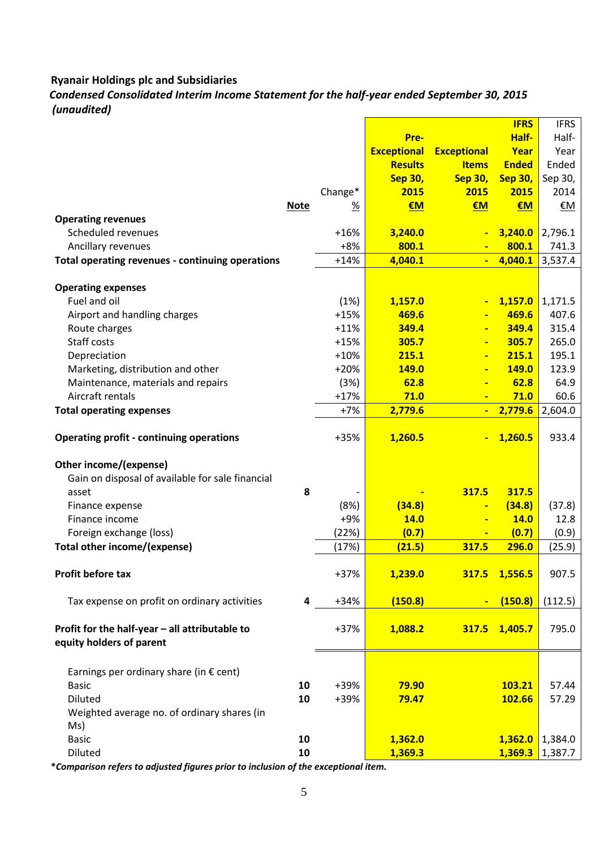## *Condensed Consolidated Interim Income Statement for the half-year ended September 30, 2015 (unaudited)*

|                                                  |             |         |                    |                    | <b>IFRS</b>    | <b>IFRS</b> |
|--------------------------------------------------|-------------|---------|--------------------|--------------------|----------------|-------------|
|                                                  |             |         | Pre-               |                    | Half-          | Half-       |
|                                                  |             |         | <b>Exceptional</b> | <b>Exceptional</b> | Year           | Year        |
|                                                  |             |         | <b>Results</b>     | <b>Items</b>       | <b>Ended</b>   | Ended       |
|                                                  |             |         | <b>Sep 30,</b>     | <b>Sep 30,</b>     | <b>Sep 30,</b> | Sep 30,     |
|                                                  |             | Change* | 2015               | 2015               | 2015           | 2014        |
|                                                  | <b>Note</b> | %       | €M                 | €M                 | €M             | €M          |
| <b>Operating revenues</b>                        |             |         |                    |                    |                |             |
| Scheduled revenues                               |             | $+16%$  | 3,240.0            |                    | 3,240.0        | 2,796.1     |
| Ancillary revenues                               |             | $+8%$   | 800.1              |                    | 800.1          | 741.3       |
| Total operating revenues - continuing operations |             | $+14%$  | 4,040.1            | $\blacksquare$     | 4,040.1        | 3,537.4     |
|                                                  |             |         |                    |                    |                |             |
| <b>Operating expenses</b>                        |             |         |                    |                    |                |             |
| Fuel and oil                                     |             | (1%)    | 1,157.0            | $\blacksquare$     | 1,157.0        | 1,171.5     |
| Airport and handling charges                     |             | $+15%$  | 469.6              | $\blacksquare$     | 469.6          | 407.6       |
| Route charges                                    |             | $+11%$  | 349.4              | $\blacksquare$     | 349.4          | 315.4       |
| Staff costs                                      |             | $+15%$  | 305.7              | $\blacksquare$     | 305.7          | 265.0       |
| Depreciation                                     |             | $+10%$  | 215.1              | $\blacksquare$     | 215.1          | 195.1       |
| Marketing, distribution and other                |             | $+20%$  | 149.0              | $\blacksquare$     | <b>149.0</b>   | 123.9       |
| Maintenance, materials and repairs               |             | (3%)    | 62.8               | $\blacksquare$     | 62.8           | 64.9        |
| Aircraft rentals                                 |             | $+17%$  | 71.0               |                    | 71.0           | 60.6        |
| <b>Total operating expenses</b>                  |             | $+7%$   | 2,779.6            |                    | 2,779.6        | 2,604.0     |
|                                                  |             |         |                    |                    |                |             |
| <b>Operating profit - continuing operations</b>  |             | +35%    | 1,260.5            | $\blacksquare$     | 1,260.5        | 933.4       |
|                                                  |             |         |                    |                    |                |             |
| Other income/(expense)                           |             |         |                    |                    |                |             |
| Gain on disposal of available for sale financial |             |         |                    |                    |                |             |
| asset                                            | 8           |         |                    | 317.5              | 317.5          |             |
| Finance expense                                  |             | (8%)    | (34.8)             | $\blacksquare$     | (34.8)         | (37.8)      |
| Finance income                                   |             | $+9%$   | <b>14.0</b>        | $\blacksquare$     | 14.0           | 12.8        |
| Foreign exchange (loss)                          |             | (22%)   | (0.7)              | $\blacksquare$     | (0.7)          | (0.9)       |
| <b>Total other income/(expense)</b>              |             | (17%)   | (21.5)             | 317.5              | 296.0          | (25.9)      |
|                                                  |             |         |                    |                    |                |             |
| Profit before tax                                |             | +37%    | <u>1,239.0</u>     | 317.5              | 1,556.5        | 907.5       |
|                                                  |             |         |                    |                    |                |             |
| Tax expense on profit on ordinary activities     | 4           | $+34%$  | (150.8)            |                    | (150.8)        | (112.5)     |
|                                                  |             |         |                    |                    |                |             |
| Profit for the half-year - all attributable to   |             | $+37%$  | 1,088.2            | 317.5              | 1,405.7        | 795.0       |
| equity holders of parent                         |             |         |                    |                    |                |             |
|                                                  |             |         |                    |                    |                |             |
| Earnings per ordinary share (in $\epsilon$ cent) |             |         |                    |                    |                |             |
| <b>Basic</b>                                     | 10          | +39%    | 79.90              |                    | 103.21         | 57.44       |
| <b>Diluted</b>                                   | 10          | +39%    | 79.47              |                    | 102.66         | 57.29       |
| Weighted average no. of ordinary shares (in      |             |         |                    |                    |                |             |
| Ms)                                              |             |         |                    |                    |                |             |
| <b>Basic</b>                                     | 10          |         | 1,362.0            |                    | 1,362.0        | 1,384.0     |
| Diluted                                          | 10          |         | 1,369.3            |                    | 1,369.3        | 1,387.7     |
|                                                  |             |         |                    |                    |                |             |

**\****Comparison refers to adjusted figures prior to inclusion of the exceptional item.*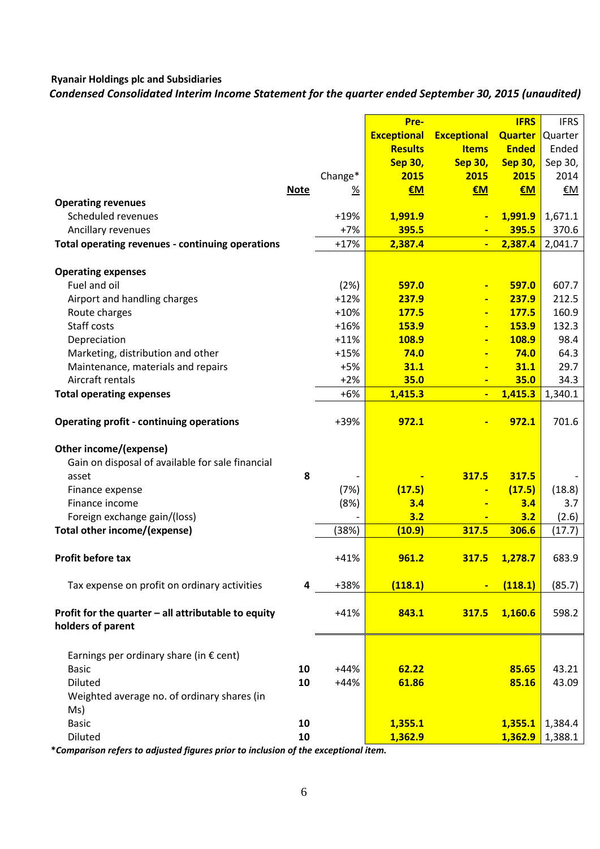*Condensed Consolidated Interim Income Statement for the quarter ended September 30, 2015 (unaudited)*

|                                                                          |             |                 | Pre-               |                     | <b>IFRS</b>    | <b>IFRS</b>  |
|--------------------------------------------------------------------------|-------------|-----------------|--------------------|---------------------|----------------|--------------|
|                                                                          |             |                 | <b>Exceptional</b> | <b>Exceptional</b>  | <b>Quarter</b> | Quarter      |
|                                                                          |             |                 | <b>Results</b>     | <b>Items</b>        | <b>Ended</b>   | Ended        |
|                                                                          |             |                 | <b>Sep 30,</b>     | <b>Sep 30,</b>      | <b>Sep 30,</b> | Sep 30,      |
|                                                                          |             | Change*         | 2015               | 2015                | 2015           | 2014         |
|                                                                          | <b>Note</b> | $\frac{9}{6}$   | €M                 | €M                  | €M             | €M           |
| <b>Operating revenues</b>                                                |             |                 |                    |                     |                |              |
| Scheduled revenues                                                       |             | $+19%$          | 1,991.9            | $\blacksquare$      | 1,991.9        | 1,671.1      |
| Ancillary revenues                                                       |             | $+7%$           | 395.5              |                     | 395.5          | 370.6        |
| Total operating revenues - continuing operations                         |             | $+17%$          | 2,387.4            | ÷                   | 2,387.4        | 2,041.7      |
|                                                                          |             |                 |                    |                     |                |              |
| <b>Operating expenses</b>                                                |             |                 |                    |                     |                |              |
| Fuel and oil                                                             |             | (2%)            | 597.0              | $\blacksquare$      | 597.0          | 607.7        |
| Airport and handling charges                                             |             | $+12%$          | 237.9              | $\blacksquare$      | 237.9          | 212.5        |
| Route charges                                                            |             | $+10%$          | <b>177.5</b>       | $\blacksquare$      | 177.5          | 160.9        |
| Staff costs                                                              |             | $+16%$          | 153.9              | $\blacksquare$      | <b>153.9</b>   | 132.3        |
| Depreciation                                                             |             | $+11%$          | 108.9              | $\blacksquare$      | 108.9<br>74.0  | 98.4         |
| Marketing, distribution and other                                        |             | $+15%$<br>$+5%$ | 74.0<br>31.1       | $\blacksquare$      | 31.1           | 64.3<br>29.7 |
| Maintenance, materials and repairs<br>Aircraft rentals                   |             | $+2%$           | 35.0               | $\blacksquare$      | 35.0           | 34.3         |
|                                                                          |             | $+6%$           | 1,415.3            | $\blacksquare$<br>Ξ | 1,415.3        | 1,340.1      |
| <b>Total operating expenses</b>                                          |             |                 |                    |                     |                |              |
| <b>Operating profit - continuing operations</b>                          |             | +39%            | 972.1              |                     | 972.1          | 701.6        |
| Other income/(expense)                                                   |             |                 |                    |                     |                |              |
| Gain on disposal of available for sale financial                         |             |                 |                    |                     |                |              |
| asset                                                                    | 8           |                 |                    | 317.5               | 317.5          |              |
| Finance expense                                                          |             | (7%)            | (17.5)             | $\blacksquare$      | (17.5)         | (18.8)       |
| Finance income                                                           |             | (8%)            | 3.4                | $\blacksquare$      | 3.4            | 3.7          |
| Foreign exchange gain/(loss)                                             |             |                 | 3.2                | $\blacksquare$      | 3.2            | (2.6)        |
| Total other income/(expense)                                             |             | (38%)           | (10.9)             | 317.5               | 306.6          | (17.7)       |
|                                                                          |             |                 |                    |                     |                |              |
| <b>Profit before tax</b>                                                 |             | $+41%$          | 961.2              | 317.5               | 1,278.7        | 683.9        |
| Tax expense on profit on ordinary activities                             | 4           | +38%            | (118.1)            |                     | (118.1)        | (85.7)       |
| Profit for the quarter - all attributable to equity<br>holders of parent |             | $+41%$          | 843.1              | 317.5               | 1,160.6        | 598.2        |
|                                                                          |             |                 |                    |                     |                |              |
| Earnings per ordinary share (in $\epsilon$ cent)                         |             |                 |                    |                     |                |              |
| <b>Basic</b>                                                             | 10          | $+44%$          | 62.22              |                     | 85.65          | 43.21        |
| <b>Diluted</b>                                                           | 10          | $+44%$          | 61.86              |                     | 85.16          | 43.09        |
| Weighted average no. of ordinary shares (in                              |             |                 |                    |                     |                |              |
| Ms)                                                                      |             |                 |                    |                     |                |              |
| <b>Basic</b>                                                             | 10          |                 | 1,355.1            |                     | 1,355.1        | 1,384.4      |
| Diluted                                                                  | 10          |                 | 1,362.9            |                     | 1,362.9        | 1,388.1      |

**\****Comparison refers to adjusted figures prior to inclusion of the exceptional item.*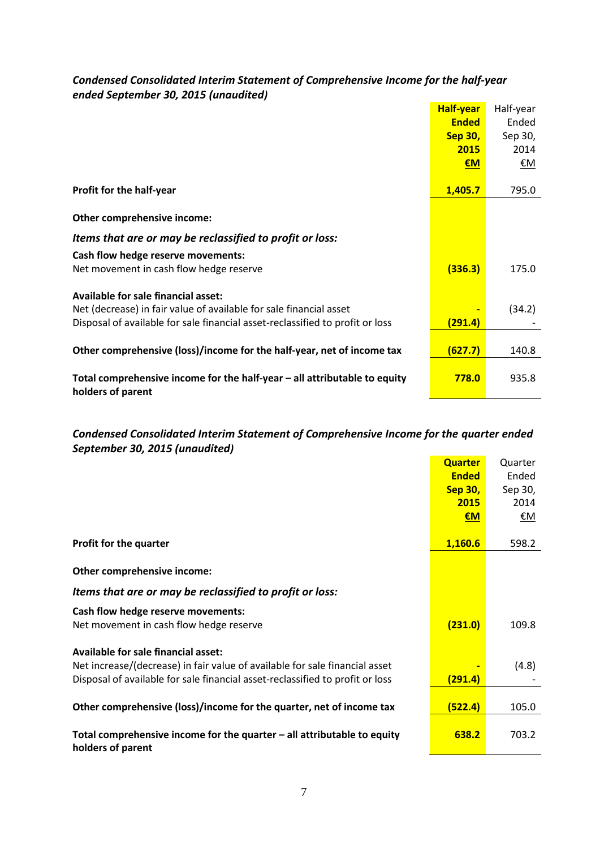## *Condensed Consolidated Interim Statement of Comprehensive Income for the half-year ended September 30, 2015 (unaudited)*

|                                                                               | <b>Half-year</b> | Half-year |
|-------------------------------------------------------------------------------|------------------|-----------|
|                                                                               | <b>Ended</b>     | Ended     |
|                                                                               | <b>Sep 30,</b>   | Sep 30,   |
|                                                                               | 2015             | 2014      |
|                                                                               | $\epsilon$ M     | <u>€M</u> |
|                                                                               |                  |           |
| Profit for the half-year                                                      | 1,405.7          | 795.0     |
|                                                                               |                  |           |
| Other comprehensive income:                                                   |                  |           |
| Items that are or may be reclassified to profit or loss:                      |                  |           |
| Cash flow hedge reserve movements:                                            |                  |           |
| Net movement in cash flow hedge reserve                                       | (336.3)          | 175.0     |
| <b>Available for sale financial asset:</b>                                    |                  |           |
| Net (decrease) in fair value of available for sale financial asset            |                  | (34.2)    |
| Disposal of available for sale financial asset-reclassified to profit or loss | <u>(291.4)</u>   |           |
|                                                                               |                  |           |
| Other comprehensive (loss)/income for the half-year, net of income tax        | (627.7)          | 140.8     |
|                                                                               |                  |           |
| Total comprehensive income for the half-year - all attributable to equity     | 778.0            | 935.8     |
| holders of parent                                                             |                  |           |

## *Condensed Consolidated Interim Statement of Comprehensive Income for the quarter ended September 30, 2015 (unaudited)*

|                                                                                                | <b>Quarter</b> | Quarter   |
|------------------------------------------------------------------------------------------------|----------------|-----------|
|                                                                                                | <b>Ended</b>   | Ended     |
|                                                                                                | <b>Sep 30,</b> | Sep 30,   |
|                                                                                                | 2015           | 2014      |
|                                                                                                | €M             | <u>€M</u> |
|                                                                                                |                |           |
| Profit for the quarter                                                                         | 1,160.6        | 598.2     |
|                                                                                                |                |           |
| Other comprehensive income:                                                                    |                |           |
| Items that are or may be reclassified to profit or loss:                                       |                |           |
| Cash flow hedge reserve movements:                                                             |                |           |
| Net movement in cash flow hedge reserve                                                        | (231.0)        | 109.8     |
| <b>Available for sale financial asset:</b>                                                     |                |           |
| Net increase/(decrease) in fair value of available for sale financial asset                    |                | (4.8)     |
| Disposal of available for sale financial asset-reclassified to profit or loss                  | (291.4)        |           |
|                                                                                                |                |           |
| Other comprehensive (loss)/income for the quarter, net of income tax                           | (522.4)        | 105.0     |
|                                                                                                |                |           |
| Total comprehensive income for the quarter $-$ all attributable to equity<br>holders of parent | 638.2          | 703.2     |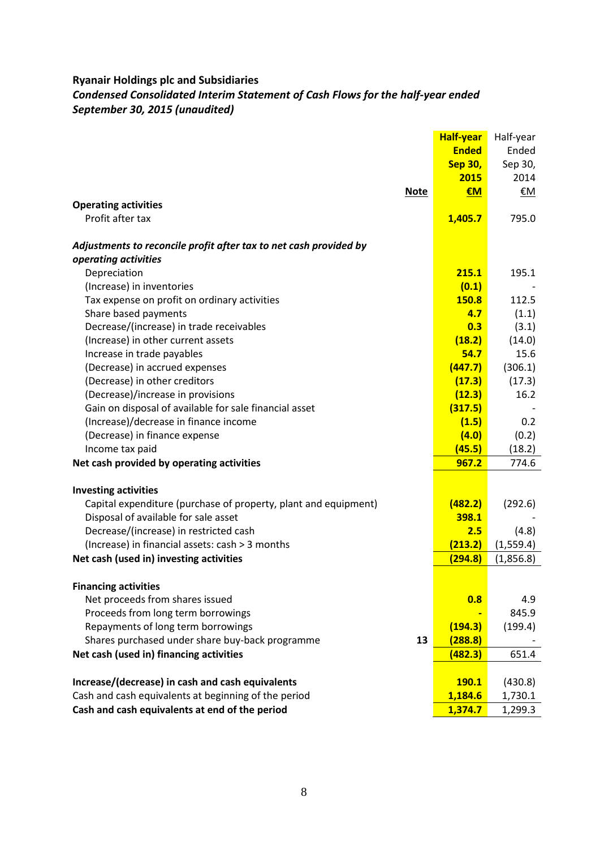## *Condensed Consolidated Interim Statement of Cash Flows for the half-year ended September 30, 2015 (unaudited)*

|                                                                   | <b>Half-year</b> | Half-year  |
|-------------------------------------------------------------------|------------------|------------|
|                                                                   | <b>Ended</b>     | Ended      |
|                                                                   | <b>Sep 30,</b>   | Sep 30,    |
|                                                                   | 2015             | 2014       |
| <b>Note</b>                                                       | €M               | €M         |
| <b>Operating activities</b>                                       |                  |            |
| Profit after tax                                                  | 1,405.7          | 795.0      |
| Adjustments to reconcile profit after tax to net cash provided by |                  |            |
| operating activities                                              |                  |            |
| Depreciation                                                      | 215.1            | 195.1      |
| (Increase) in inventories                                         | (0.1)            |            |
| Tax expense on profit on ordinary activities                      | 150.8            | 112.5      |
| Share based payments                                              | 4.7              | (1.1)      |
| Decrease/(increase) in trade receivables                          | 0.3              | (3.1)      |
| (Increase) in other current assets                                | (18.2)           | (14.0)     |
| Increase in trade payables                                        | 54.7             | 15.6       |
| (Decrease) in accrued expenses                                    | (447.7)          | (306.1)    |
| (Decrease) in other creditors                                     | (17.3)           | (17.3)     |
| (Decrease)/increase in provisions                                 | (12.3)           | 16.2       |
| Gain on disposal of available for sale financial asset            | (317.5)          |            |
| (Increase)/decrease in finance income                             | (1.5)            | 0.2        |
| (Decrease) in finance expense                                     | (4.0)            | (0.2)      |
| Income tax paid                                                   | (45.5)           | (18.2)     |
| Net cash provided by operating activities                         | 967.2            | 774.6      |
| <b>Investing activities</b>                                       |                  |            |
| Capital expenditure (purchase of property, plant and equipment)   | (482.2)          | (292.6)    |
| Disposal of available for sale asset                              | 398.1            |            |
| Decrease/(increase) in restricted cash                            | 2.5              | (4.8)      |
| (Increase) in financial assets: cash > 3 months                   | (213.2)          | (1, 559.4) |
| Net cash (used in) investing activities                           | (294.8)          | (1,856.8)  |
| <b>Financing activities</b>                                       |                  |            |
| Net proceeds from shares issued                                   | 0.8              | 4.9        |
| Proceeds from long term borrowings                                |                  | 845.9      |
| Repayments of long term borrowings                                | (194.3)          | (199.4)    |
| Shares purchased under share buy-back programme<br>13             | (288.8)          |            |
| Net cash (used in) financing activities                           | (482.3)          | 651.4      |
|                                                                   |                  |            |
| Increase/(decrease) in cash and cash equivalents                  | <b>190.1</b>     | (430.8)    |
| Cash and cash equivalents at beginning of the period              | 1,184.6          | 1,730.1    |
| Cash and cash equivalents at end of the period                    | 1,374.7          | 1,299.3    |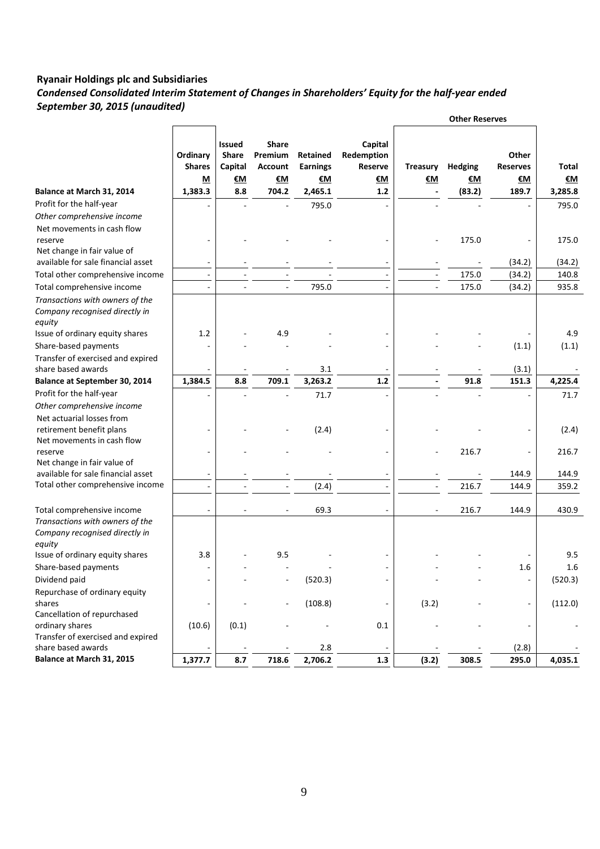## *Condensed Consolidated Interim Statement of Changes in Shareholders' Equity for the half-year ended September 30, 2015 (unaudited)*

|                                                                             |                                |                                                       |                                                 |                                   |                                        |                              | <b>Other Reserves</b> |                                |                |
|-----------------------------------------------------------------------------|--------------------------------|-------------------------------------------------------|-------------------------------------------------|-----------------------------------|----------------------------------------|------------------------------|-----------------------|--------------------------------|----------------|
|                                                                             | Ordinary<br><b>Shares</b><br>М | <b>Issued</b><br><b>Share</b><br>Capital<br><u>€M</u> | <b>Share</b><br>Premium<br><b>Account</b><br>€М | Retained<br><b>Earnings</b><br>€М | Capital<br>Redemption<br>Reserve<br>€M | <b>Treasury</b><br><u>€M</u> | <b>Hedging</b><br>€М  | Other<br><b>Reserves</b><br>€М | Total<br>€M    |
| Balance at March 31, 2014                                                   | 1,383.3                        | 8.8                                                   | 704.2                                           | 2,465.1                           | $1.2$                                  | $\overline{\phantom{a}}$     | (83.2)                | 189.7                          | 3,285.8        |
| Profit for the half-year                                                    |                                |                                                       |                                                 | 795.0                             |                                        |                              |                       |                                | 795.0          |
| Other comprehensive income                                                  |                                |                                                       |                                                 |                                   |                                        |                              |                       |                                |                |
| Net movements in cash flow                                                  |                                |                                                       |                                                 |                                   |                                        |                              |                       |                                |                |
| reserve                                                                     |                                |                                                       |                                                 |                                   |                                        |                              | 175.0                 |                                | 175.0          |
| Net change in fair value of<br>available for sale financial asset           |                                |                                                       |                                                 |                                   |                                        |                              |                       |                                |                |
|                                                                             |                                |                                                       |                                                 |                                   | ä,                                     |                              |                       | (34.2)                         | (34.2)         |
| Total other comprehensive income                                            | $\overline{\phantom{a}}$       |                                                       |                                                 | 795.0                             |                                        | $\overline{\phantom{a}}$     | 175.0<br>175.0        | (34.2)<br>(34.2)               | 140.8<br>935.8 |
| Total comprehensive income                                                  |                                |                                                       |                                                 |                                   |                                        |                              |                       |                                |                |
| Transactions with owners of the<br>Company recognised directly in<br>equity |                                |                                                       |                                                 |                                   |                                        |                              |                       |                                |                |
| Issue of ordinary equity shares                                             | 1.2                            |                                                       | 4.9                                             |                                   |                                        |                              |                       |                                | 4.9            |
| Share-based payments                                                        |                                |                                                       |                                                 |                                   |                                        |                              |                       | (1.1)                          | (1.1)          |
| Transfer of exercised and expired                                           |                                |                                                       |                                                 |                                   |                                        |                              |                       |                                |                |
| share based awards                                                          |                                |                                                       |                                                 | 3.1                               |                                        |                              |                       | (3.1)                          |                |
| <b>Balance at September 30, 2014</b>                                        | 1,384.5                        | 8.8                                                   | 709.1                                           | 3,263.2                           | 1.2                                    |                              | 91.8                  | 151.3                          | 4,225.4        |
| Profit for the half-year                                                    |                                |                                                       |                                                 | 71.7                              |                                        |                              |                       |                                | 71.7           |
| Other comprehensive income                                                  |                                |                                                       |                                                 |                                   |                                        |                              |                       |                                |                |
| Net actuarial losses from                                                   |                                |                                                       |                                                 |                                   |                                        |                              |                       |                                |                |
| retirement benefit plans                                                    | ٠                              |                                                       |                                                 | (2.4)                             |                                        |                              |                       |                                | (2.4)          |
| Net movements in cash flow<br>reserve                                       |                                |                                                       |                                                 |                                   |                                        |                              | 216.7                 | $\qquad \qquad -$              | 216.7          |
| Net change in fair value of                                                 |                                |                                                       |                                                 |                                   |                                        |                              |                       |                                |                |
| available for sale financial asset                                          | ÷                              |                                                       |                                                 |                                   |                                        |                              |                       | 144.9                          | 144.9          |
| Total other comprehensive income                                            | ä,                             |                                                       | $\sim$                                          | (2.4)                             |                                        |                              | 216.7                 | 144.9                          | 359.2          |
|                                                                             |                                |                                                       |                                                 |                                   |                                        |                              |                       |                                |                |
| Total comprehensive income                                                  | $\overline{\phantom{0}}$       |                                                       | $\overline{\phantom{a}}$                        | 69.3                              |                                        |                              | 216.7                 | 144.9                          | 430.9          |
| Transactions with owners of the                                             |                                |                                                       |                                                 |                                   |                                        |                              |                       |                                |                |
| Company recognised directly in                                              |                                |                                                       |                                                 |                                   |                                        |                              |                       |                                |                |
| equity                                                                      |                                |                                                       |                                                 |                                   |                                        |                              |                       |                                |                |
| Issue of ordinary equity shares                                             | 3.8                            |                                                       | 9.5                                             |                                   |                                        |                              |                       |                                | 9.5            |
| Share-based payments                                                        |                                |                                                       |                                                 |                                   | $\overline{\phantom{m}}$               |                              |                       | 1.6                            | 1.6            |
| Dividend paid                                                               |                                |                                                       |                                                 | (520.3)                           |                                        |                              |                       |                                | (520.3)        |
| Repurchase of ordinary equity                                               |                                |                                                       |                                                 |                                   |                                        |                              |                       |                                |                |
| shares<br>Cancellation of repurchased                                       |                                |                                                       | $\overline{a}$                                  | (108.8)                           |                                        | (3.2)                        |                       |                                | (112.0)        |
| ordinary shares                                                             | (10.6)                         | (0.1)                                                 |                                                 |                                   | 0.1                                    |                              |                       |                                |                |
| Transfer of exercised and expired                                           |                                |                                                       |                                                 |                                   |                                        |                              |                       |                                |                |
| share based awards                                                          |                                |                                                       |                                                 | 2.8                               |                                        |                              |                       | (2.8)                          |                |
| Balance at March 31, 2015                                                   | 1,377.7                        | 8.7                                                   | 718.6                                           | 2,706.2                           | 1.3                                    | (3.2)                        | 308.5                 | 295.0                          | 4,035.1        |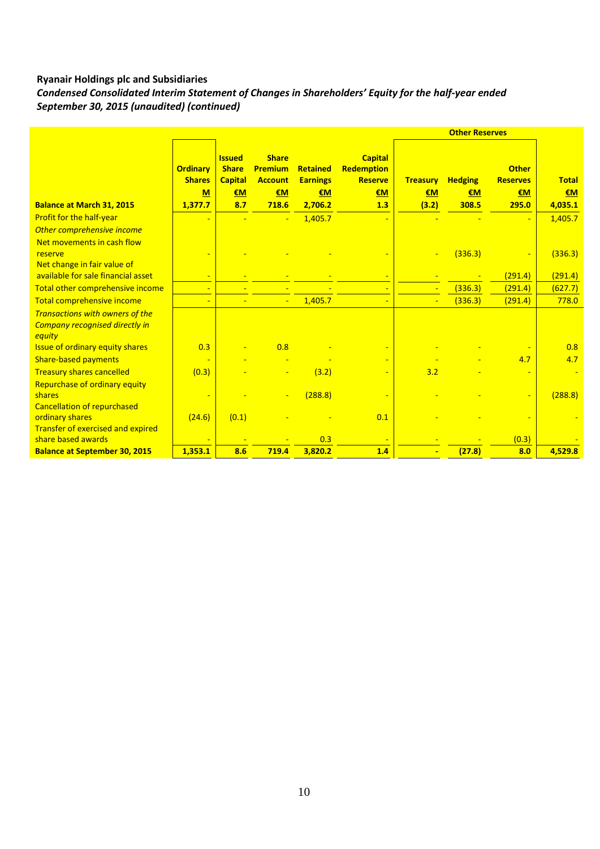*Condensed Consolidated Interim Statement of Changes in Shareholders' Equity for the half-year ended September 30, 2015 (unaudited) (continued)*

|                                                                               | <b>Ordinary</b><br><b>Shares</b><br>M | <b>Issued</b><br><b>Share</b><br><b>Capital</b><br>€M | <b>Share</b><br><b>Premium</b><br><b>Account</b><br>€M | <b>Retained</b><br><b>Earnings</b><br>€M | <b>Capital</b><br>Redemption<br><b>Reserve</b><br>€M | <b>Treasury</b><br>€M | <b>Hedging</b><br>€M | <b>Other</b><br><b>Reserves</b><br>€M | <b>Total</b><br>€M |
|-------------------------------------------------------------------------------|---------------------------------------|-------------------------------------------------------|--------------------------------------------------------|------------------------------------------|------------------------------------------------------|-----------------------|----------------------|---------------------------------------|--------------------|
| <b>Balance at March 31, 2015</b>                                              | 1,377.7                               | 8.7                                                   | 718.6                                                  | 2,706.2                                  | 1.3                                                  | (3.2)                 | 308.5                | 295.0                                 | 4,035.1            |
| Profit for the half-year<br>Other comprehensive income                        |                                       |                                                       | ÷                                                      | 1,405.7                                  | $\overline{\phantom{a}}$                             |                       |                      |                                       | 1,405.7            |
| Net movements in cash flow<br>reserve                                         |                                       |                                                       |                                                        |                                          |                                                      |                       | (336.3)              |                                       | (336.3)            |
| Net change in fair value of<br>available for sale financial asset             |                                       |                                                       |                                                        |                                          | ÷                                                    |                       |                      | (291.4)                               | (291.4)            |
| Total other comprehensive income                                              |                                       |                                                       |                                                        |                                          | $\blacksquare$                                       |                       | (336.3)              | (291.4)                               | (627.7)            |
| Total comprehensive income                                                    | ٠                                     |                                                       | $\blacksquare$                                         | 1,405.7                                  | ٠                                                    | $\blacksquare$        | (336.3)              | (291.4)                               | 778.0              |
| Transactions with owners of the<br>Company recognised directly in<br>equity   |                                       |                                                       |                                                        |                                          |                                                      |                       |                      |                                       |                    |
| <b>Issue of ordinary equity shares</b>                                        | 0.3                                   |                                                       | 0.8                                                    |                                          | $\blacksquare$                                       |                       |                      |                                       | 0.8                |
| <b>Share-based payments</b>                                                   |                                       |                                                       |                                                        |                                          | $\blacksquare$                                       |                       |                      | 4.7                                   | 4.7                |
| <b>Treasury shares cancelled</b>                                              | (0.3)                                 |                                                       |                                                        | (3.2)                                    | $\blacksquare$                                       | 3.2                   |                      |                                       |                    |
| Repurchase of ordinary equity<br>shares<br><b>Cancellation of repurchased</b> |                                       |                                                       | $\equiv$                                               | (288.8)                                  | $\blacksquare$                                       |                       |                      |                                       | (288.8)            |
| ordinary shares<br>Transfer of exercised and expired                          | (24.6)                                | (0.1)                                                 |                                                        |                                          | 0.1                                                  |                       |                      |                                       |                    |
| share based awards                                                            |                                       |                                                       |                                                        | 0.3                                      | $\blacksquare$                                       |                       |                      | (0.3)                                 |                    |
| <b>Balance at September 30, 2015</b>                                          | 1,353.1                               | 8.6                                                   | 719.4                                                  | 3,820.2                                  | 1.4                                                  |                       | (27.8)               | 8.0                                   | 4,529.8            |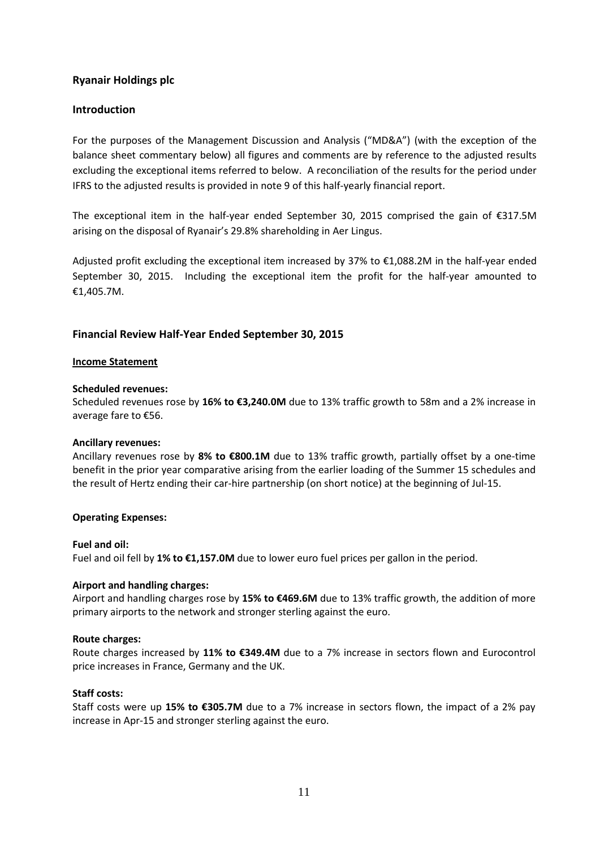## **Ryanair Holdings plc**

## **Introduction**

For the purposes of the Management Discussion and Analysis ("MD&A") (with the exception of the balance sheet commentary below) all figures and comments are by reference to the adjusted results excluding the exceptional items referred to below. A reconciliation of the results for the period under IFRS to the adjusted results is provided in note 9 of this half-yearly financial report.

The exceptional item in the half-year ended September 30, 2015 comprised the gain of €317.5M arising on the disposal of Ryanair's 29.8% shareholding in Aer Lingus.

Adjusted profit excluding the exceptional item increased by 37% to €1,088.2M in the half-year ended September 30, 2015. Including the exceptional item the profit for the half-year amounted to €1,405.7M.

## **Financial Review Half-Year Ended September 30, 2015**

#### **Income Statement**

#### **Scheduled revenues:**

Scheduled revenues rose by **16% to €3,240.0M** due to 13% traffic growth to 58m and a 2% increase in average fare to €56.

#### **Ancillary revenues:**

Ancillary revenues rose by **8% to €800.1M** due to 13% traffic growth, partially offset by a one-time benefit in the prior year comparative arising from the earlier loading of the Summer 15 schedules and the result of Hertz ending their car-hire partnership (on short notice) at the beginning of Jul-15.

#### **Operating Expenses:**

#### **Fuel and oil:**

Fuel and oil fell by **1% to €1,157.0M** due to lower euro fuel prices per gallon in the period.

#### **Airport and handling charges:**

Airport and handling charges rose by **15% to €469.6M** due to 13% traffic growth, the addition of more primary airports to the network and stronger sterling against the euro.

#### **Route charges:**

Route charges increased by **11% to €349.4M** due to a 7% increase in sectors flown and Eurocontrol price increases in France, Germany and the UK.

#### **Staff costs:**

Staff costs were up **15% to €305.7M** due to a 7% increase in sectors flown, the impact of a 2% pay increase in Apr-15 and stronger sterling against the euro.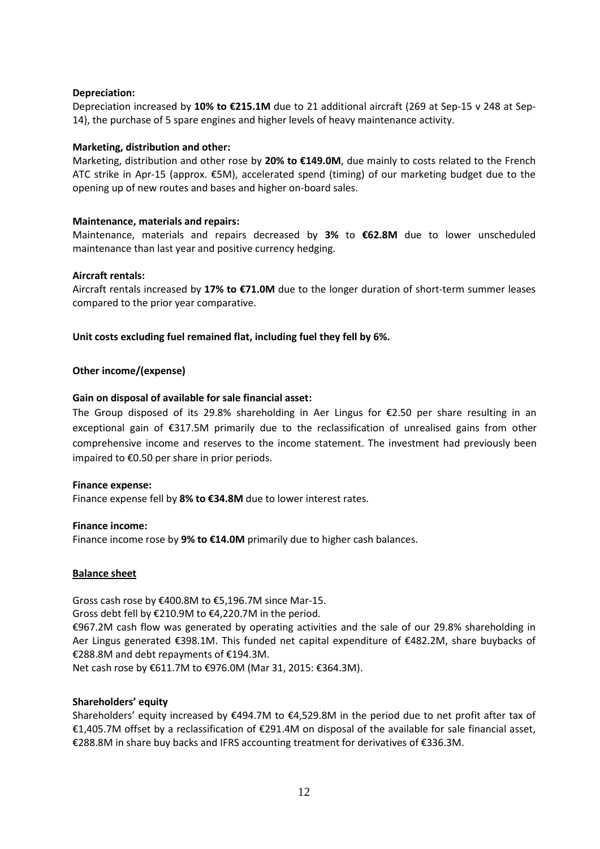#### **Depreciation:**

Depreciation increased by **10% to €215.1M** due to 21 additional aircraft (269 at Sep-15 v 248 at Sep-14), the purchase of 5 spare engines and higher levels of heavy maintenance activity.

#### **Marketing, distribution and other:**

Marketing, distribution and other rose by **20% to €149.0M**, due mainly to costs related to the French ATC strike in Apr-15 (approx. €5M), accelerated spend (timing) of our marketing budget due to the opening up of new routes and bases and higher on-board sales.

## **Maintenance, materials and repairs:**

Maintenance, materials and repairs decreased by **3%** to **€62.8M** due to lower unscheduled maintenance than last year and positive currency hedging.

## **Aircraft rentals:**

Aircraft rentals increased by **17% to €71.0M** due to the longer duration of short-term summer leases compared to the prior year comparative.

## **Unit costs excluding fuel remained flat, including fuel they fell by 6%.**

## **Other income/(expense)**

## **Gain on disposal of available for sale financial asset:**

The Group disposed of its 29.8% shareholding in Aer Lingus for €2.50 per share resulting in an exceptional gain of €317.5M primarily due to the reclassification of unrealised gains from other comprehensive income and reserves to the income statement. The investment had previously been impaired to €0.50 per share in prior periods.

#### **Finance expense:**

Finance expense fell by **8% to €34.8M** due to lower interest rates.

#### **Finance income:**

Finance income rose by **9% to €14.0M** primarily due to higher cash balances.

#### **Balance sheet**

Gross cash rose by €400.8M to €5,196.7M since Mar-15.

Gross debt fell by €210.9M to €4,220.7M in the period.

€967.2M cash flow was generated by operating activities and the sale of our 29.8% shareholding in Aer Lingus generated €398.1M. This funded net capital expenditure of €482.2M, share buybacks of €288.8M and debt repayments of €194.3M.

Net cash rose by €611.7M to €976.0M (Mar 31, 2015: €364.3M).

#### **Shareholders' equity**

Shareholders' equity increased by €494.7M to €4,529.8M in the period due to net profit after tax of €1,405.7M offset by a reclassification of €291.4M on disposal of the available for sale financial asset, €288.8M in share buy backs and IFRS accounting treatment for derivatives of €336.3M.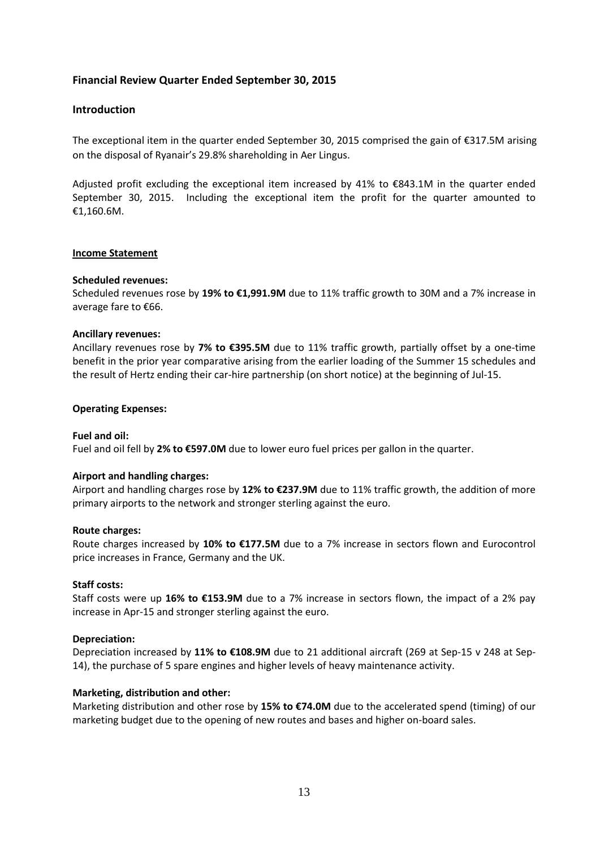## **Financial Review Quarter Ended September 30, 2015**

## **Introduction**

The exceptional item in the quarter ended September 30, 2015 comprised the gain of €317.5M arising on the disposal of Ryanair's 29.8% shareholding in Aer Lingus.

Adjusted profit excluding the exceptional item increased by 41% to €843.1M in the quarter ended September 30, 2015. Including the exceptional item the profit for the quarter amounted to €1,160.6M.

#### **Income Statement**

#### **Scheduled revenues:**

Scheduled revenues rose by **19% to €1,991.9M** due to 11% traffic growth to 30M and a 7% increase in average fare to €66.

#### **Ancillary revenues:**

Ancillary revenues rose by **7% to €395.5M** due to 11% traffic growth, partially offset by a one-time benefit in the prior year comparative arising from the earlier loading of the Summer 15 schedules and the result of Hertz ending their car-hire partnership (on short notice) at the beginning of Jul-15.

#### **Operating Expenses:**

#### **Fuel and oil:**

Fuel and oil fell by **2% to €597.0M** due to lower euro fuel prices per gallon in the quarter.

#### **Airport and handling charges:**

Airport and handling charges rose by **12% to €237.9M** due to 11% traffic growth, the addition of more primary airports to the network and stronger sterling against the euro.

#### **Route charges:**

Route charges increased by **10% to €177.5M** due to a 7% increase in sectors flown and Eurocontrol price increases in France, Germany and the UK.

#### **Staff costs:**

Staff costs were up **16% to €153.9M** due to a 7% increase in sectors flown, the impact of a 2% pay increase in Apr-15 and stronger sterling against the euro.

#### **Depreciation:**

Depreciation increased by **11% to €108.9M** due to 21 additional aircraft (269 at Sep-15 v 248 at Sep-14), the purchase of 5 spare engines and higher levels of heavy maintenance activity.

#### **Marketing, distribution and other:**

Marketing distribution and other rose by **15% to €74.0M** due to the accelerated spend (timing) of our marketing budget due to the opening of new routes and bases and higher on-board sales.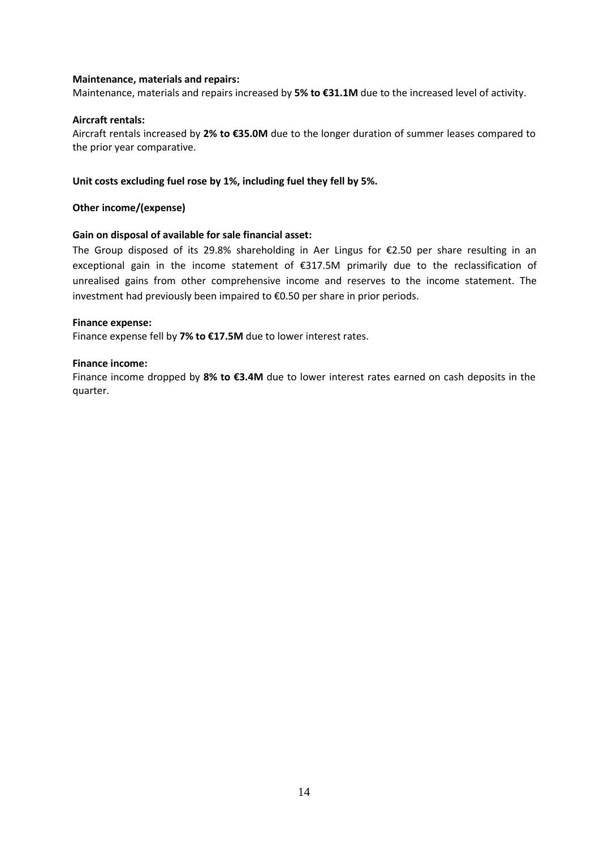#### **Maintenance, materials and repairs:**

Maintenance, materials and repairs increased by **5% to €31.1M** due to the increased level of activity.

#### **Aircraft rentals:**

Aircraft rentals increased by **2% to €35.0M** due to the longer duration of summer leases compared to the prior year comparative.

#### **Unit costs excluding fuel rose by 1%, including fuel they fell by 5%.**

**Other income/(expense)**

#### **Gain on disposal of available for sale financial asset:**

The Group disposed of its 29.8% shareholding in Aer Lingus for €2.50 per share resulting in an exceptional gain in the income statement of €317.5M primarily due to the reclassification of unrealised gains from other comprehensive income and reserves to the income statement. The investment had previously been impaired to €0.50 per share in prior periods.

#### **Finance expense:**

Finance expense fell by **7% to €17.5M** due to lower interest rates.

#### **Finance income:**

Finance income dropped by **8% to €3.4M** due to lower interest rates earned on cash deposits in the quarter.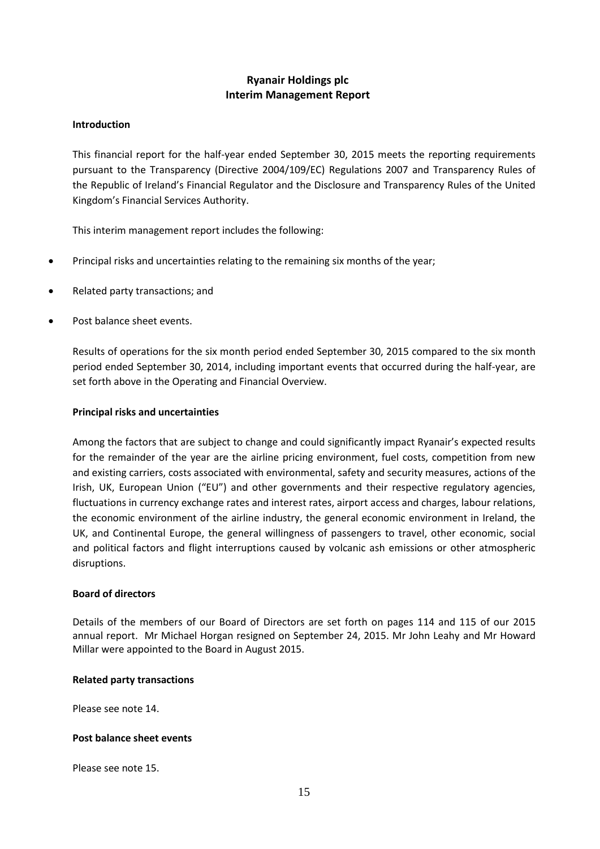## **Ryanair Holdings plc Interim Management Report**

## **Introduction**

This financial report for the half-year ended September 30, 2015 meets the reporting requirements pursuant to the Transparency (Directive 2004/109/EC) Regulations 2007 and Transparency Rules of the Republic of Ireland's Financial Regulator and the Disclosure and Transparency Rules of the United Kingdom's Financial Services Authority.

This interim management report includes the following:

- Principal risks and uncertainties relating to the remaining six months of the year;
- Related party transactions; and
- Post balance sheet events.

Results of operations for the six month period ended September 30, 2015 compared to the six month period ended September 30, 2014, including important events that occurred during the half-year, are set forth above in the Operating and Financial Overview.

#### **Principal risks and uncertainties**

Among the factors that are subject to change and could significantly impact Ryanair's expected results for the remainder of the year are the airline pricing environment, fuel costs, competition from new and existing carriers, costs associated with environmental, safety and security measures, actions of the Irish, UK, European Union ("EU") and other governments and their respective regulatory agencies, fluctuations in currency exchange rates and interest rates, airport access and charges, labour relations, the economic environment of the airline industry, the general economic environment in Ireland, the UK, and Continental Europe, the general willingness of passengers to travel, other economic, social and political factors and flight interruptions caused by volcanic ash emissions or other atmospheric disruptions.

#### **Board of directors**

Details of the members of our Board of Directors are set forth on pages 114 and 115 of our 2015 annual report. Mr Michael Horgan resigned on September 24, 2015. Mr John Leahy and Mr Howard Millar were appointed to the Board in August 2015.

#### **Related party transactions**

Please see note 14.

#### **Post balance sheet events**

Please see note 15.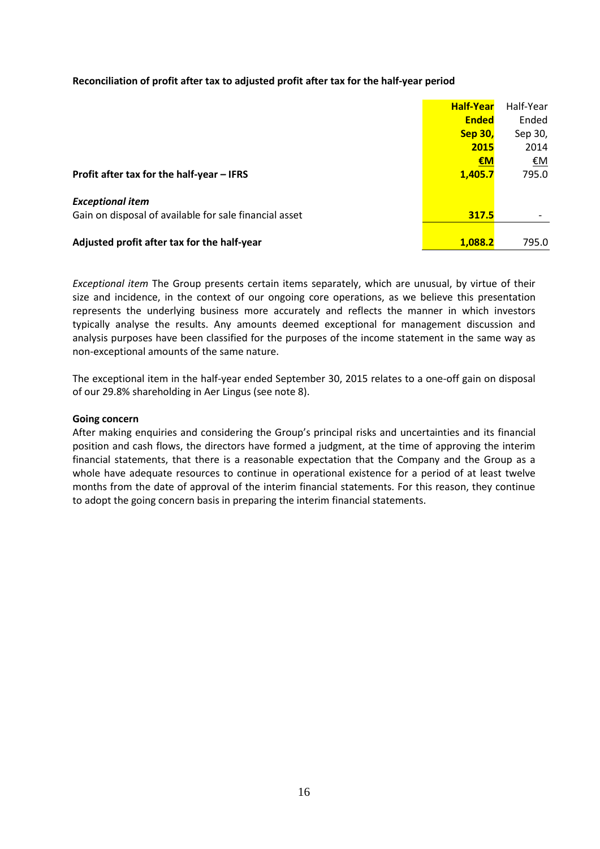#### **Reconciliation of profit after tax to adjusted profit after tax for the half-year period**

|                                                        | <b>Half-Year</b> | Half-Year |
|--------------------------------------------------------|------------------|-----------|
|                                                        | <b>Ended</b>     | Ended     |
|                                                        | <b>Sep 30,</b>   | Sep 30,   |
|                                                        | 2015             | 2014      |
|                                                        | €M               | <u>€M</u> |
| Profit after tax for the half-year - IFRS              | 1,405.7          | 795.0     |
| <b>Exceptional item</b>                                |                  |           |
| Gain on disposal of available for sale financial asset | 317.5            |           |
|                                                        |                  |           |
| Adjusted profit after tax for the half-year            | 1,088.2          | 795.0     |

*Exceptional item* The Group presents certain items separately, which are unusual, by virtue of their size and incidence, in the context of our ongoing core operations, as we believe this presentation represents the underlying business more accurately and reflects the manner in which investors typically analyse the results. Any amounts deemed exceptional for management discussion and analysis purposes have been classified for the purposes of the income statement in the same way as non-exceptional amounts of the same nature.

The exceptional item in the half-year ended September 30, 2015 relates to a one-off gain on disposal of our 29.8% shareholding in Aer Lingus (see note 8).

#### **Going concern**

After making enquiries and considering the Group's principal risks and uncertainties and its financial position and cash flows, the directors have formed a judgment, at the time of approving the interim financial statements, that there is a reasonable expectation that the Company and the Group as a whole have adequate resources to continue in operational existence for a period of at least twelve months from the date of approval of the interim financial statements. For this reason, they continue to adopt the going concern basis in preparing the interim financial statements.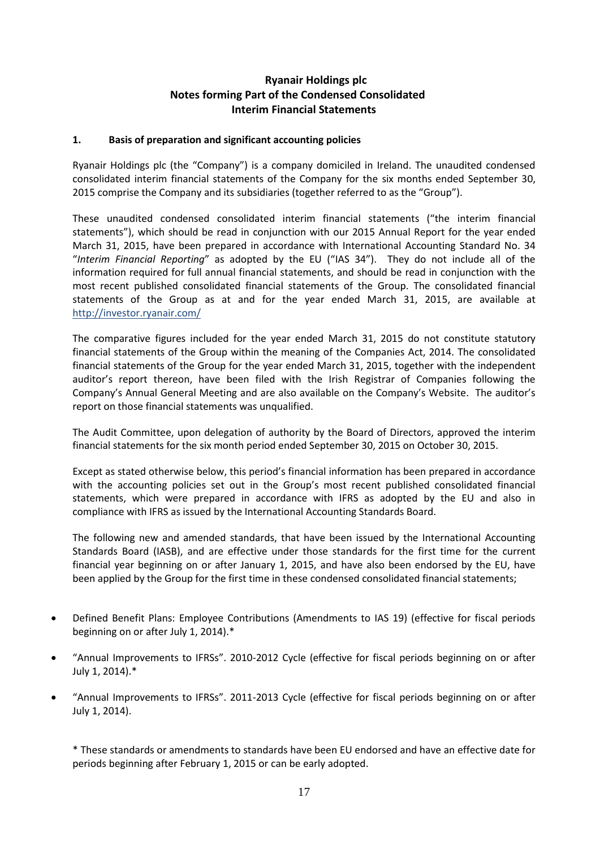## **Ryanair Holdings plc Notes forming Part of the Condensed Consolidated Interim Financial Statements**

## **1. Basis of preparation and significant accounting policies**

Ryanair Holdings plc (the "Company") is a company domiciled in Ireland. The unaudited condensed consolidated interim financial statements of the Company for the six months ended September 30, 2015 comprise the Company and its subsidiaries (together referred to as the "Group").

These unaudited condensed consolidated interim financial statements ("the interim financial statements"), which should be read in conjunction with our 2015 Annual Report for the year ended March 31, 2015, have been prepared in accordance with International Accounting Standard No. 34 "*Interim Financial Reporting*" as adopted by the EU ("IAS 34"). They do not include all of the information required for full annual financial statements, and should be read in conjunction with the most recent published consolidated financial statements of the Group. The consolidated financial statements of the Group as at and for the year ended March 31, 2015, are available at http://investor.ryanair.com/

The comparative figures included for the year ended March 31, 2015 do not constitute statutory financial statements of the Group within the meaning of the Companies Act, 2014. The consolidated financial statements of the Group for the year ended March 31, 2015, together with the independent auditor's report thereon, have been filed with the Irish Registrar of Companies following the Company's Annual General Meeting and are also available on the Company's Website. The auditor's report on those financial statements was unqualified.

The Audit Committee, upon delegation of authority by the Board of Directors, approved the interim financial statements for the six month period ended September 30, 2015 on October 30, 2015.

Except as stated otherwise below, this period's financial information has been prepared in accordance with the accounting policies set out in the Group's most recent published consolidated financial statements, which were prepared in accordance with IFRS as adopted by the EU and also in compliance with IFRS as issued by the International Accounting Standards Board.

The following new and amended standards, that have been issued by the International Accounting Standards Board (IASB), and are effective under those standards for the first time for the current financial year beginning on or after January 1, 2015, and have also been endorsed by the EU, have been applied by the Group for the first time in these condensed consolidated financial statements;

- Defined Benefit Plans: Employee Contributions (Amendments to IAS 19) (effective for fiscal periods beginning on or after July 1, 2014).\*
- "Annual Improvements to IFRSs". 2010-2012 Cycle (effective for fiscal periods beginning on or after July 1, 2014).\*
- "Annual Improvements to IFRSs". 2011-2013 Cycle (effective for fiscal periods beginning on or after July 1, 2014).

\* These standards or amendments to standards have been EU endorsed and have an effective date for periods beginning after February 1, 2015 or can be early adopted.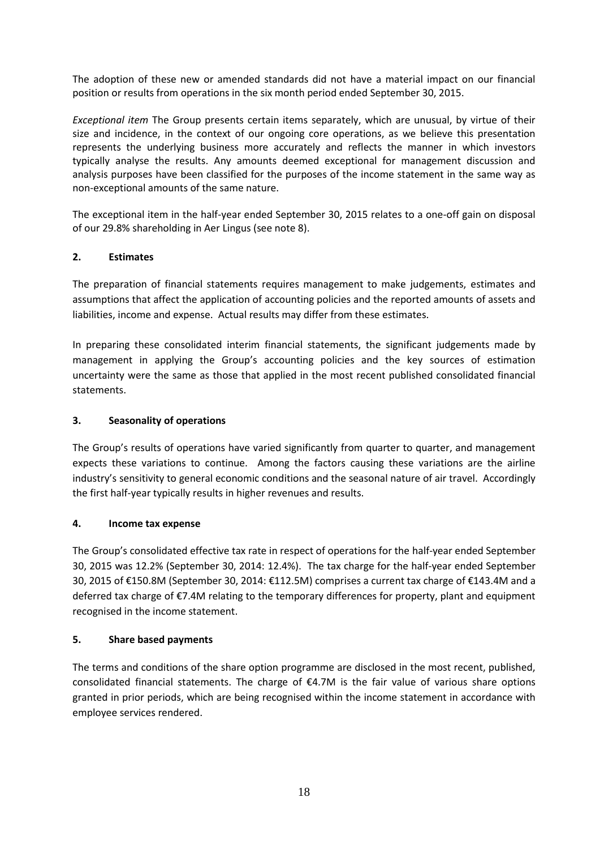The adoption of these new or amended standards did not have a material impact on our financial position or results from operations in the six month period ended September 30, 2015.

*Exceptional item* The Group presents certain items separately, which are unusual, by virtue of their size and incidence, in the context of our ongoing core operations, as we believe this presentation represents the underlying business more accurately and reflects the manner in which investors typically analyse the results. Any amounts deemed exceptional for management discussion and analysis purposes have been classified for the purposes of the income statement in the same way as non-exceptional amounts of the same nature.

The exceptional item in the half-year ended September 30, 2015 relates to a one-off gain on disposal of our 29.8% shareholding in Aer Lingus (see note 8).

## **2. Estimates**

The preparation of financial statements requires management to make judgements, estimates and assumptions that affect the application of accounting policies and the reported amounts of assets and liabilities, income and expense. Actual results may differ from these estimates.

In preparing these consolidated interim financial statements, the significant judgements made by management in applying the Group's accounting policies and the key sources of estimation uncertainty were the same as those that applied in the most recent published consolidated financial statements.

## **3. Seasonality of operations**

The Group's results of operations have varied significantly from quarter to quarter, and management expects these variations to continue. Among the factors causing these variations are the airline industry's sensitivity to general economic conditions and the seasonal nature of air travel. Accordingly the first half-year typically results in higher revenues and results.

#### **4. Income tax expense**

The Group's consolidated effective tax rate in respect of operations for the half-year ended September 30, 2015 was 12.2% (September 30, 2014: 12.4%). The tax charge for the half-year ended September 30, 2015 of €150.8M (September 30, 2014: €112.5M) comprises a current tax charge of €143.4M and a deferred tax charge of €7.4M relating to the temporary differences for property, plant and equipment recognised in the income statement.

#### **5. Share based payments**

The terms and conditions of the share option programme are disclosed in the most recent, published, consolidated financial statements. The charge of  $\epsilon$ 4.7M is the fair value of various share options granted in prior periods, which are being recognised within the income statement in accordance with employee services rendered.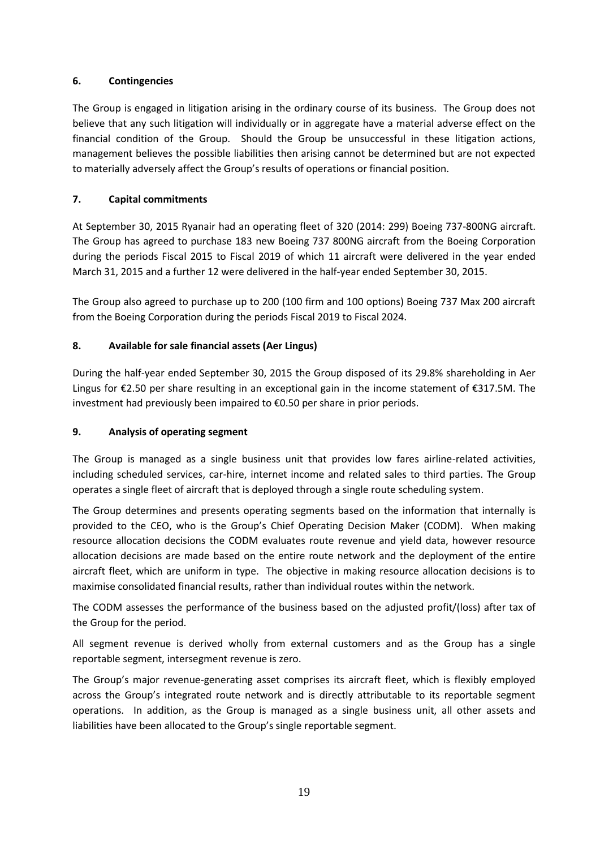## **6. Contingencies**

The Group is engaged in litigation arising in the ordinary course of its business. The Group does not believe that any such litigation will individually or in aggregate have a material adverse effect on the financial condition of the Group. Should the Group be unsuccessful in these litigation actions, management believes the possible liabilities then arising cannot be determined but are not expected to materially adversely affect the Group's results of operations or financial position.

## **7. Capital commitments**

At September 30, 2015 Ryanair had an operating fleet of 320 (2014: 299) Boeing 737-800NG aircraft. The Group has agreed to purchase 183 new Boeing 737 800NG aircraft from the Boeing Corporation during the periods Fiscal 2015 to Fiscal 2019 of which 11 aircraft were delivered in the year ended March 31, 2015 and a further 12 were delivered in the half-year ended September 30, 2015.

The Group also agreed to purchase up to 200 (100 firm and 100 options) Boeing 737 Max 200 aircraft from the Boeing Corporation during the periods Fiscal 2019 to Fiscal 2024.

## **8. Available for sale financial assets (Aer Lingus)**

During the half-year ended September 30, 2015 the Group disposed of its 29.8% shareholding in Aer Lingus for €2.50 per share resulting in an exceptional gain in the income statement of €317.5M. The investment had previously been impaired to €0.50 per share in prior periods.

## **9. Analysis of operating segment**

The Group is managed as a single business unit that provides low fares airline-related activities, including scheduled services, car-hire, internet income and related sales to third parties. The Group operates a single fleet of aircraft that is deployed through a single route scheduling system.

The Group determines and presents operating segments based on the information that internally is provided to the CEO, who is the Group's Chief Operating Decision Maker (CODM). When making resource allocation decisions the CODM evaluates route revenue and yield data, however resource allocation decisions are made based on the entire route network and the deployment of the entire aircraft fleet, which are uniform in type. The objective in making resource allocation decisions is to maximise consolidated financial results, rather than individual routes within the network.

The CODM assesses the performance of the business based on the adjusted profit/(loss) after tax of the Group for the period.

All segment revenue is derived wholly from external customers and as the Group has a single reportable segment, intersegment revenue is zero.

The Group's major revenue-generating asset comprises its aircraft fleet, which is flexibly employed across the Group's integrated route network and is directly attributable to its reportable segment operations. In addition, as the Group is managed as a single business unit, all other assets and liabilities have been allocated to the Group's single reportable segment.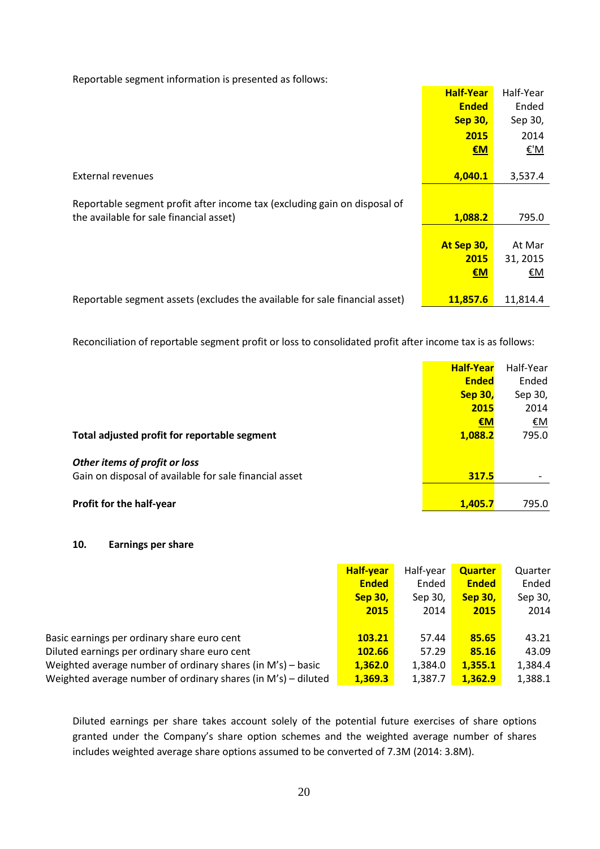|                                                                                                                      | <b>Half-Year</b><br><b>Ended</b><br><b>Sep 30,</b> | Half-Year<br>Ended<br>Sep 30, |
|----------------------------------------------------------------------------------------------------------------------|----------------------------------------------------|-------------------------------|
|                                                                                                                      | 2015<br>EM                                         | 2014<br>€'M                   |
| External revenues                                                                                                    | 4,040.1                                            | 3,537.4                       |
| Reportable segment profit after income tax (excluding gain on disposal of<br>the available for sale financial asset) | 1,088.2                                            | 795.0                         |
|                                                                                                                      | At Sep 30,<br>2015                                 | At Mar<br>31, 2015            |
| Reportable segment assets (excludes the available for sale financial asset)                                          | €M<br>11,857.6                                     | €Μ<br>11,814.4                |

Reportable segment information is presented as follows:

Reconciliation of reportable segment profit or loss to consolidated profit after income tax is as follows:

|                                                                                         | <b>Half-Year</b> | Half-Year |
|-----------------------------------------------------------------------------------------|------------------|-----------|
|                                                                                         | <b>Ended</b>     | Ended     |
|                                                                                         | <b>Sep 30,</b>   | Sep 30,   |
|                                                                                         | 2015             | 2014      |
|                                                                                         | €M               | €M        |
| Total adjusted profit for reportable segment                                            | 1,088.2          | 795.0     |
| Other items of profit or loss<br>Gain on disposal of available for sale financial asset | 317.5            |           |
| Profit for the half-year                                                                | 1.405.7          | 795.0     |

#### **10. Earnings per share**

|                                                               | <b>Half-year</b> | Half-year | <b>Quarter</b> | Quarter |
|---------------------------------------------------------------|------------------|-----------|----------------|---------|
|                                                               | <b>Ended</b>     | Ended     | <b>Ended</b>   | Ended   |
|                                                               | <b>Sep 30,</b>   | Sep 30,   | <b>Sep 30,</b> | Sep 30, |
|                                                               | 2015             | 2014      | 2015           | 2014    |
|                                                               |                  |           |                |         |
| Basic earnings per ordinary share euro cent                   | 103.21           | 57.44     | 85.65          | 43.21   |
| Diluted earnings per ordinary share euro cent                 | <b>102.66</b>    | 57.29     | 85.16          | 43.09   |
| Weighted average number of ordinary shares (in M's) – basic   | 1,362.0          | 1,384.0   | 1,355.1        | 1,384.4 |
| Weighted average number of ordinary shares (in M's) – diluted | 1,369.3          | 1,387.7   | 1,362.9        | 1,388.1 |

Diluted earnings per share takes account solely of the potential future exercises of share options granted under the Company's share option schemes and the weighted average number of shares includes weighted average share options assumed to be converted of 7.3M (2014: 3.8M).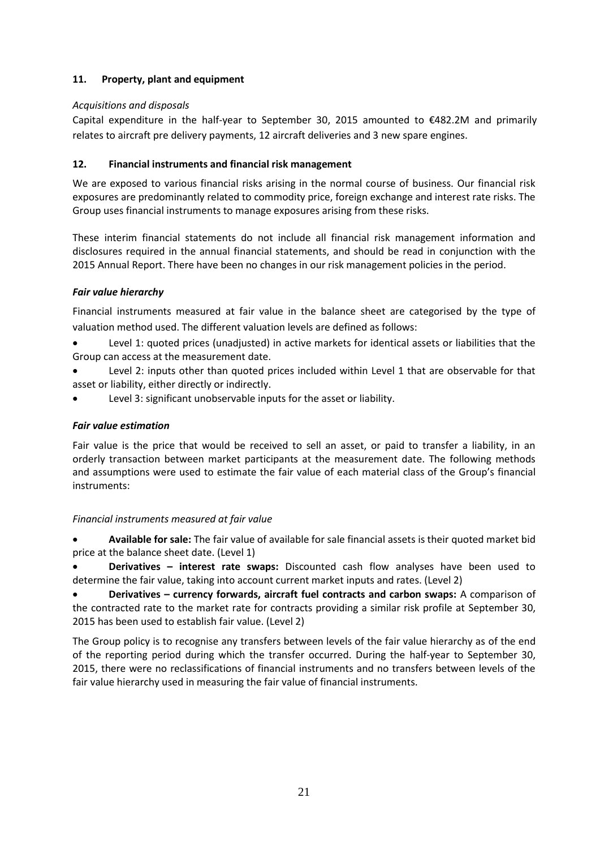## **11. Property, plant and equipment**

## *Acquisitions and disposals*

Capital expenditure in the half-year to September 30, 2015 amounted to  $\epsilon$ 482.2M and primarily relates to aircraft pre delivery payments, 12 aircraft deliveries and 3 new spare engines.

## **12. Financial instruments and financial risk management**

We are exposed to various financial risks arising in the normal course of business. Our financial risk exposures are predominantly related to commodity price, foreign exchange and interest rate risks. The Group uses financial instruments to manage exposures arising from these risks.

These interim financial statements do not include all financial risk management information and disclosures required in the annual financial statements, and should be read in conjunction with the 2015 Annual Report. There have been no changes in our risk management policies in the period.

## *Fair value hierarchy*

Financial instruments measured at fair value in the balance sheet are categorised by the type of valuation method used. The different valuation levels are defined as follows:

- Level 1: quoted prices (unadjusted) in active markets for identical assets or liabilities that the Group can access at the measurement date.
- Level 2: inputs other than quoted prices included within Level 1 that are observable for that asset or liability, either directly or indirectly.
- Level 3: significant unobservable inputs for the asset or liability.

## *Fair value estimation*

Fair value is the price that would be received to sell an asset, or paid to transfer a liability, in an orderly transaction between market participants at the measurement date. The following methods and assumptions were used to estimate the fair value of each material class of the Group's financial instruments:

## *Financial instruments measured at fair value*

 **Available for sale:** The fair value of available for sale financial assets is their quoted market bid price at the balance sheet date. (Level 1)

 **Derivatives – interest rate swaps:** Discounted cash flow analyses have been used to determine the fair value, taking into account current market inputs and rates. (Level 2)

 **Derivatives – currency forwards, aircraft fuel contracts and carbon swaps:** A comparison of the contracted rate to the market rate for contracts providing a similar risk profile at September 30, 2015 has been used to establish fair value. (Level 2)

The Group policy is to recognise any transfers between levels of the fair value hierarchy as of the end of the reporting period during which the transfer occurred. During the half-year to September 30, 2015, there were no reclassifications of financial instruments and no transfers between levels of the fair value hierarchy used in measuring the fair value of financial instruments.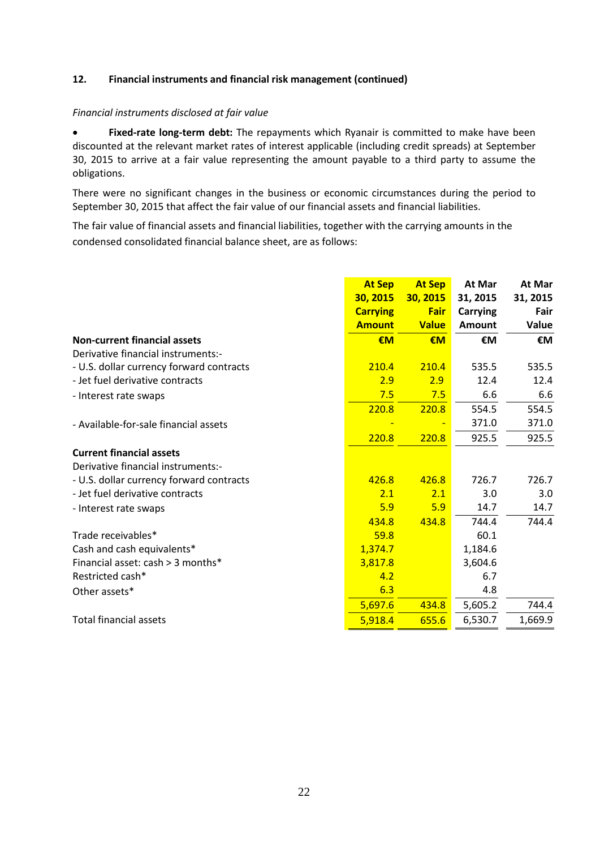## **12. Financial instruments and financial risk management (continued)**

#### *Financial instruments disclosed at fair value*

 **Fixed-rate long-term debt:** The repayments which Ryanair is committed to make have been discounted at the relevant market rates of interest applicable (including credit spreads) at September 30, 2015 to arrive at a fair value representing the amount payable to a third party to assume the obligations.

There were no significant changes in the business or economic circumstances during the period to September 30, 2015 that affect the fair value of our financial assets and financial liabilities.

The fair value of financial assets and financial liabilities, together with the carrying amounts in the condensed consolidated financial balance sheet, are as follows:

|                                          | <b>At Sep</b><br>30, 2015<br><b>Carrying</b><br><b>Amount</b> | <b>At Sep</b><br>30, 2015<br><b>Fair</b><br><b>Value</b> | At Mar<br>31, 2015<br>Carrying<br><b>Amount</b> | At Mar<br>31, 2015<br>Fair<br>Value |
|------------------------------------------|---------------------------------------------------------------|----------------------------------------------------------|-------------------------------------------------|-------------------------------------|
| <b>Non-current financial assets</b>      | €M                                                            | €M                                                       | €M                                              | €M                                  |
| Derivative financial instruments:-       |                                                               |                                                          |                                                 |                                     |
| - U.S. dollar currency forward contracts | 210.4                                                         | 210.4                                                    | 535.5                                           | 535.5                               |
| - Jet fuel derivative contracts          | 2.9                                                           | 2.9                                                      | 12.4                                            | 12.4                                |
| - Interest rate swaps                    | 7.5                                                           | 7.5                                                      | 6.6                                             | 6.6                                 |
|                                          | 220.8                                                         | 220.8                                                    | 554.5                                           | 554.5                               |
| - Available-for-sale financial assets    |                                                               |                                                          | 371.0                                           | 371.0                               |
|                                          | 220.8                                                         | 220.8                                                    | 925.5                                           | 925.5                               |
| <b>Current financial assets</b>          |                                                               |                                                          |                                                 |                                     |
| Derivative financial instruments:-       |                                                               |                                                          |                                                 |                                     |
| - U.S. dollar currency forward contracts | 426.8                                                         | 426.8                                                    | 726.7                                           | 726.7                               |
| - Jet fuel derivative contracts          | 2.1                                                           | 2.1                                                      | 3.0                                             | 3.0                                 |
| - Interest rate swaps                    | 5.9                                                           | 5.9                                                      | 14.7                                            | 14.7                                |
|                                          | 434.8                                                         | 434.8                                                    | 744.4                                           | 744.4                               |
| Trade receivables*                       | 59.8                                                          |                                                          | 60.1                                            |                                     |
| Cash and cash equivalents*               | 1,374.7                                                       |                                                          | 1,184.6                                         |                                     |
| Financial asset: cash > 3 months*        | 3,817.8                                                       |                                                          | 3,604.6                                         |                                     |
| Restricted cash*                         | 4.2                                                           |                                                          | 6.7                                             |                                     |
| Other assets*                            | 6.3                                                           |                                                          | 4.8                                             |                                     |
|                                          | 5,697.6                                                       | 434.8                                                    | 5,605.2                                         | 744.4                               |
| <b>Total financial assets</b>            | 5,918.4                                                       | 655.6                                                    | 6,530.7                                         | 1,669.9                             |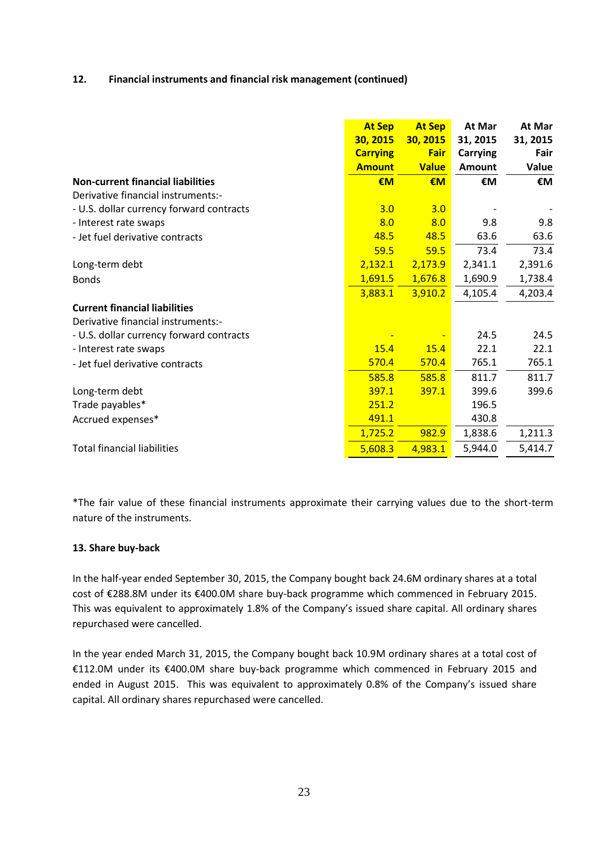### **12. Financial instruments and financial risk management (continued)**

|                                          | <b>At Sep</b>   | <b>At Sep</b> | At Mar          | At Mar   |
|------------------------------------------|-----------------|---------------|-----------------|----------|
|                                          | 30, 2015        | 30, 2015      | 31, 2015        | 31, 2015 |
|                                          | <b>Carrying</b> | Fair          | <b>Carrying</b> | Fair     |
|                                          | <b>Amount</b>   | <b>Value</b>  | <b>Amount</b>   | Value    |
| <b>Non-current financial liabilities</b> | €M              | €M            | €M              | €M       |
| Derivative financial instruments:-       |                 |               |                 |          |
| - U.S. dollar currency forward contracts | 3.0             | 3.0           |                 |          |
| - Interest rate swaps                    | 8.0             | 8.0           | 9.8             | 9.8      |
| - Jet fuel derivative contracts          | 48.5            | 48.5          | 63.6            | 63.6     |
|                                          | 59.5            | 59.5          | 73.4            | 73.4     |
| Long-term debt                           | 2,132.1         | 2,173.9       | 2,341.1         | 2,391.6  |
| <b>Bonds</b>                             | 1,691.5         | 1,676.8       | 1,690.9         | 1,738.4  |
|                                          | 3,883.1         | 3,910.2       | 4,105.4         | 4,203.4  |
| <b>Current financial liabilities</b>     |                 |               |                 |          |
| Derivative financial instruments:-       |                 |               |                 |          |
| - U.S. dollar currency forward contracts |                 |               | 24.5            | 24.5     |
| - Interest rate swaps                    | 15.4            | 15.4          | 22.1            | 22.1     |
| - Jet fuel derivative contracts          | 570.4           | 570.4         | 765.1           | 765.1    |
|                                          | 585.8           | 585.8         | 811.7           | 811.7    |
| Long-term debt                           | 397.1           | 397.1         | 399.6           | 399.6    |
| Trade payables*                          | 251.2           |               | 196.5           |          |
| Accrued expenses*                        | 491.1           |               | 430.8           |          |
|                                          | 1,725.2         | 982.9         | 1,838.6         | 1,211.3  |
| <b>Total financial liabilities</b>       | 5,608.3         | 4,983.1       | 5,944.0         | 5,414.7  |

\*The fair value of these financial instruments approximate their carrying values due to the short-term nature of the instruments.

#### **13. Share buy-back**

In the half-year ended September 30, 2015, the Company bought back 24.6M ordinary shares at a total cost of €288.8M under its €400.0M share buy-back programme which commenced in February 2015. This was equivalent to approximately 1.8% of the Company's issued share capital. All ordinary shares repurchased were cancelled.

In the year ended March 31, 2015, the Company bought back 10.9M ordinary shares at a total cost of €112.0M under its €400.0M share buy-back programme which commenced in February 2015 and ended in August 2015.This was equivalent to approximately 0.8% of the Company's issued share capital. All ordinary shares repurchased were cancelled.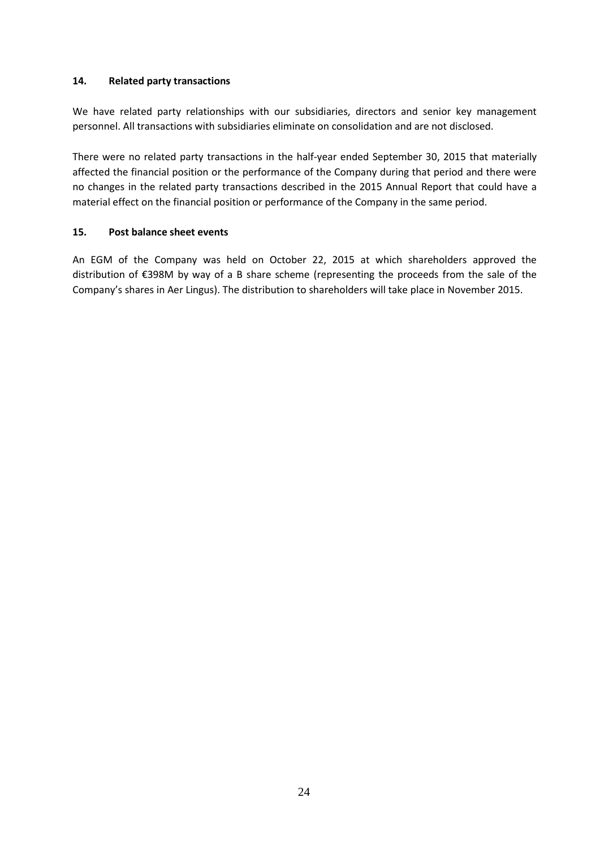## **14. Related party transactions**

We have related party relationships with our subsidiaries, directors and senior key management personnel. All transactions with subsidiaries eliminate on consolidation and are not disclosed.

There were no related party transactions in the half-year ended September 30, 2015 that materially affected the financial position or the performance of the Company during that period and there were no changes in the related party transactions described in the 2015 Annual Report that could have a material effect on the financial position or performance of the Company in the same period.

## **15. Post balance sheet events**

An EGM of the Company was held on October 22, 2015 at which shareholders approved the distribution of €398M by way of a B share scheme (representing the proceeds from the sale of the Company's shares in Aer Lingus). The distribution to shareholders will take place in November 2015.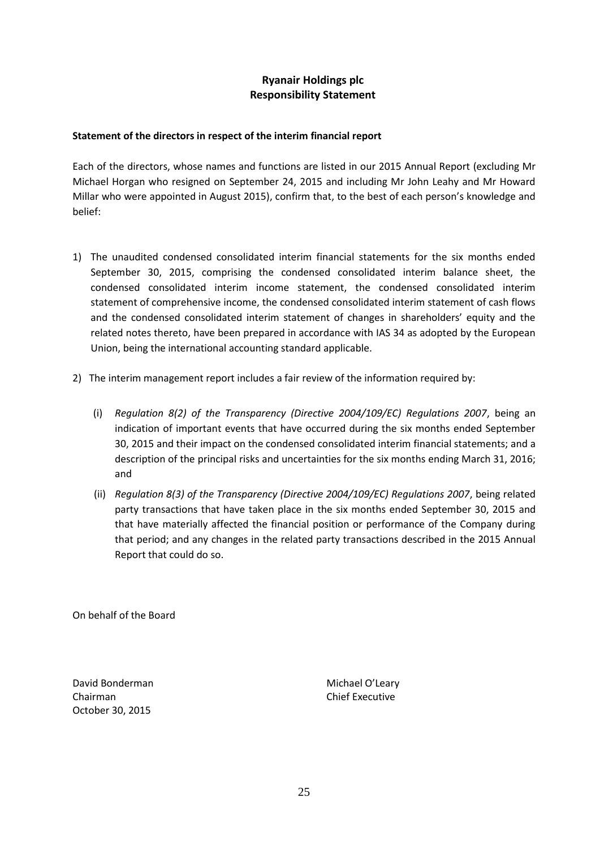## **Ryanair Holdings plc Responsibility Statement**

## **Statement of the directors in respect of the interim financial report**

Each of the directors, whose names and functions are listed in our 2015 Annual Report (excluding Mr Michael Horgan who resigned on September 24, 2015 and including Mr John Leahy and Mr Howard Millar who were appointed in August 2015), confirm that, to the best of each person's knowledge and belief:

- 1) The unaudited condensed consolidated interim financial statements for the six months ended September 30, 2015, comprising the condensed consolidated interim balance sheet, the condensed consolidated interim income statement, the condensed consolidated interim statement of comprehensive income, the condensed consolidated interim statement of cash flows and the condensed consolidated interim statement of changes in shareholders' equity and the related notes thereto, have been prepared in accordance with IAS 34 as adopted by the European Union, being the international accounting standard applicable.
- 2) The interim management report includes a fair review of the information required by:
	- (i) *Regulation 8(2) of the Transparency (Directive 2004/109/EC) Regulations 2007*, being an indication of important events that have occurred during the six months ended September 30, 2015 and their impact on the condensed consolidated interim financial statements; and a description of the principal risks and uncertainties for the six months ending March 31, 2016; and
	- (ii) *Regulation 8(3) of the Transparency (Directive 2004/109/EC) Regulations 2007*, being related party transactions that have taken place in the six months ended September 30, 2015 and that have materially affected the financial position or performance of the Company during that period; and any changes in the related party transactions described in the 2015 Annual Report that could do so.

On behalf of the Board

David Bonderman Michael O'Leary Chairman Chief Executive October 30, 2015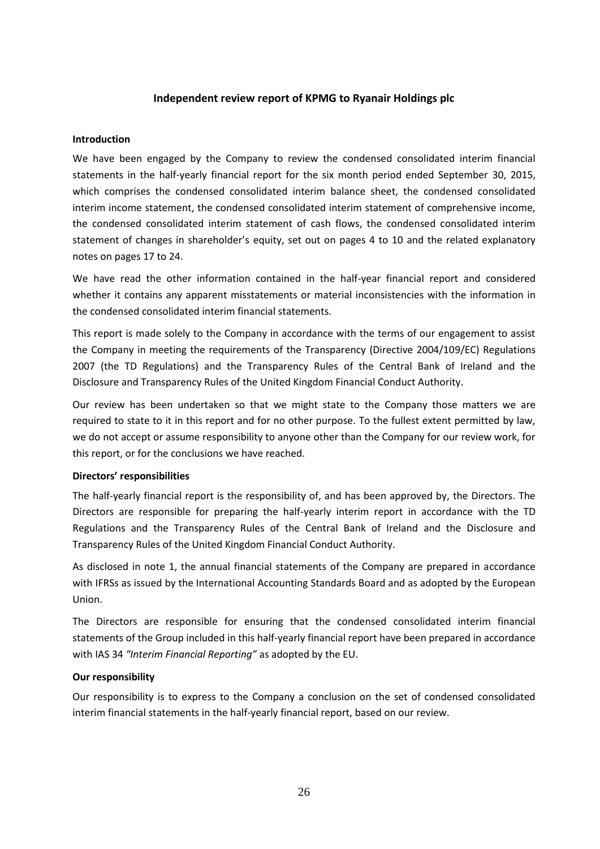## **Independent review report of KPMG to Ryanair Holdings plc**

#### **Introduction**

We have been engaged by the Company to review the condensed consolidated interim financial statements in the half-yearly financial report for the six month period ended September 30, 2015, which comprises the condensed consolidated interim balance sheet, the condensed consolidated interim income statement, the condensed consolidated interim statement of comprehensive income, the condensed consolidated interim statement of cash flows, the condensed consolidated interim statement of changes in shareholder's equity, set out on pages 4 to 10 and the related explanatory notes on pages 17 to 24.

We have read the other information contained in the half-year financial report and considered whether it contains any apparent misstatements or material inconsistencies with the information in the condensed consolidated interim financial statements.

This report is made solely to the Company in accordance with the terms of our engagement to assist the Company in meeting the requirements of the Transparency (Directive 2004/109/EC) Regulations 2007 (the TD Regulations) and the Transparency Rules of the Central Bank of Ireland and the Disclosure and Transparency Rules of the United Kingdom Financial Conduct Authority.

Our review has been undertaken so that we might state to the Company those matters we are required to state to it in this report and for no other purpose. To the fullest extent permitted by law, we do not accept or assume responsibility to anyone other than the Company for our review work, for this report, or for the conclusions we have reached.

#### **Directors' responsibilities**

The half-yearly financial report is the responsibility of, and has been approved by, the Directors. The Directors are responsible for preparing the half-yearly interim report in accordance with the TD Regulations and the Transparency Rules of the Central Bank of Ireland and the Disclosure and Transparency Rules of the United Kingdom Financial Conduct Authority.

As disclosed in note 1, the annual financial statements of the Company are prepared in accordance with IFRSs as issued by the International Accounting Standards Board and as adopted by the European Union.

The Directors are responsible for ensuring that the condensed consolidated interim financial statements of the Group included in this half-yearly financial report have been prepared in accordance with IAS 34 *"Interim Financial Reporting"* as adopted by the EU.

#### **Our responsibility**

Our responsibility is to express to the Company a conclusion on the set of condensed consolidated interim financial statements in the half-yearly financial report, based on our review.